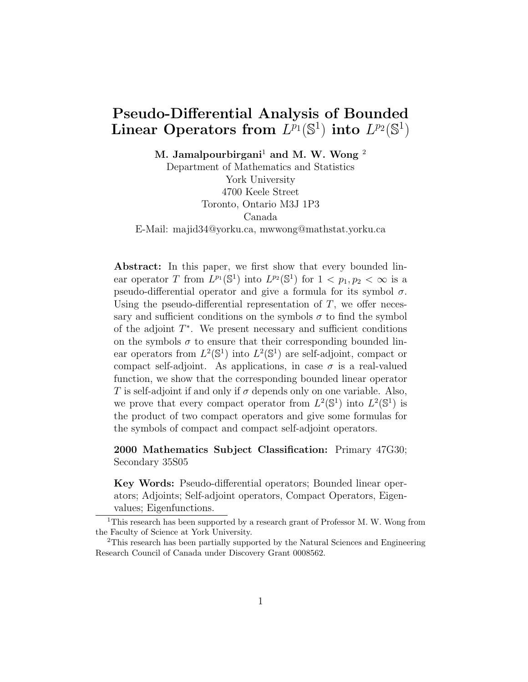# Pseudo-Differential Analysis of Bounded Linear Operators from  $L^{p_1}(\mathbb{S}^1)$  into  $L^{p_2}(\mathbb{S}^1)$

M. Jamalpourbirgani<sup>1</sup> and M. W. Wong<sup>2</sup>

Department of Mathematics and Statistics York University 4700 Keele Street Toronto, Ontario M3J 1P3 Canada E-Mail: majid34@yorku.ca, mwwong@mathstat.yorku.ca

Abstract: In this paper, we first show that every bounded linear operator T from  $L^{p_1}(\mathbb{S}^1)$  into  $L^{p_2}(\mathbb{S}^1)$  for  $1 < p_1, p_2 < \infty$  is a pseudo-differential operator and give a formula for its symbol  $\sigma$ . Using the pseudo-differential representation of  $T$ , we offer necessary and sufficient conditions on the symbols  $\sigma$  to find the symbol of the adjoint  $T^*$ . We present necessary and sufficient conditions on the symbols  $\sigma$  to ensure that their corresponding bounded linear operators from  $L^2(\mathbb{S}^1)$  into  $L^2(\mathbb{S}^1)$  are self-adjoint, compact or compact self-adjoint. As applications, in case  $\sigma$  is a real-valued function, we show that the corresponding bounded linear operator T is self-adjoint if and only if  $\sigma$  depends only on one variable. Also, we prove that every compact operator from  $L^2(\mathbb{S}^1)$  into  $L^2(\mathbb{S}^1)$  is the product of two compact operators and give some formulas for the symbols of compact and compact self-adjoint operators.

2000 Mathematics Subject Classification: Primary 47G30; Secondary 35S05

Key Words: Pseudo-differential operators; Bounded linear operators; Adjoints; Self-adjoint operators, Compact Operators, Eigenvalues; Eigenfunctions.

<sup>&</sup>lt;sup>1</sup>This research has been supported by a research grant of Professor M. W. Wong from the Faculty of Science at York University.

<sup>2</sup>This research has been partially supported by the Natural Sciences and Engineering Research Council of Canada under Discovery Grant 0008562.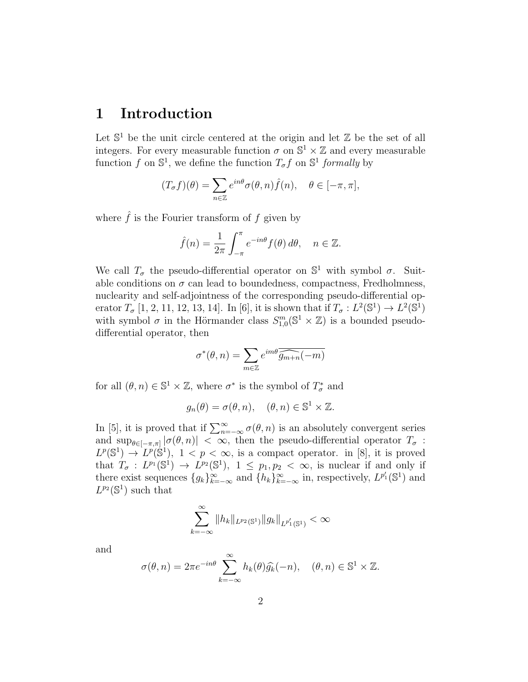### 1 Introduction

Let  $\mathbb{S}^1$  be the unit circle centered at the origin and let  $\mathbb Z$  be the set of all integers. For every measurable function  $\sigma$  on  $\mathbb{S}^1 \times \mathbb{Z}$  and every measurable function f on  $\mathbb{S}^1$ , we define the function  $T_{\sigma}f$  on  $\mathbb{S}^1$  formally by

$$
(T_{\sigma}f)(\theta) = \sum_{n \in \mathbb{Z}} e^{in\theta} \sigma(\theta, n) \hat{f}(n), \quad \theta \in [-\pi, \pi],
$$

where  $\hat{f}$  is the Fourier transform of f given by

$$
\hat{f}(n) = \frac{1}{2\pi} \int_{-\pi}^{\pi} e^{-in\theta} f(\theta) d\theta, \quad n \in \mathbb{Z}.
$$

We call  $T_{\sigma}$  the pseudo-differential operator on  $\mathbb{S}^{1}$  with symbol  $\sigma$ . Suitable conditions on  $\sigma$  can lead to boundedness, compactness, Fredholmness, nuclearity and self-adjointness of the corresponding pseudo-differential operator  $T_{\sigma}$  [1, 2, 11, 12, 13, 14]. In [6], it is shown that if  $T_{\sigma}: L^2(\mathbb{S}^1) \to L^2(\mathbb{S}^1)$ with symbol  $\sigma$  in the Hörmander class  $S^m_{1,0}(\mathbb{S}^1 \times \mathbb{Z})$  is a bounded pseudodifferential operator, then

$$
\sigma^*(\theta, n) = \sum_{m \in \mathbb{Z}} e^{im\theta} \overline{\widehat{g_{m+n}}(-m)}
$$

for all  $(\theta, n) \in \mathbb{S}^1 \times \mathbb{Z}$ , where  $\sigma^*$  is the symbol of  $T^*_{\sigma}$  and

$$
g_n(\theta) = \sigma(\theta, n), \quad (\theta, n) \in \mathbb{S}^1 \times \mathbb{Z}.
$$

In [5], it is proved that if  $\sum_{n=-\infty}^{\infty} \sigma(\theta, n)$  is an absolutely convergent series and  $\sup_{\theta \in [-\pi,\pi]} |\sigma(\theta,n)| < \infty$ , then the pseudo-differential operator  $T_{\sigma}$ :  $L^p(\mathbb{S}^1) \to L^p(\mathbb{S}^1)$ ,  $1 < p < \infty$ , is a compact operator. in [8], it is proved that  $T_{\sigma}: L^{p_1}(\mathbb{S}^1) \to L^{p_2}(\mathbb{S}^1)$ ,  $1 \leq p_1, p_2 < \infty$ , is nuclear if and only if there exist sequences  $\{g_k\}_{k=-\infty}^{\infty}$  and  $\{h_k\}_{k=-\infty}^{\infty}$  in, respectively,  $L^{p'_1}(\mathbb{S}^1)$  and  $L^{p_2}(\mathbb{S}^1)$  such that

$$
\sum_{k=-\infty}^{\infty} \|h_k\|_{L^{p_2}(\mathbb{S}^1)} \|g_k\|_{L^{p_1'}(\mathbb{S}^1)} < \infty
$$

and

$$
\sigma(\theta, n) = 2\pi e^{-in\theta} \sum_{k=-\infty}^{\infty} h_k(\theta) \widehat{g_k}(-n), \quad (\theta, n) \in \mathbb{S}^1 \times \mathbb{Z}.
$$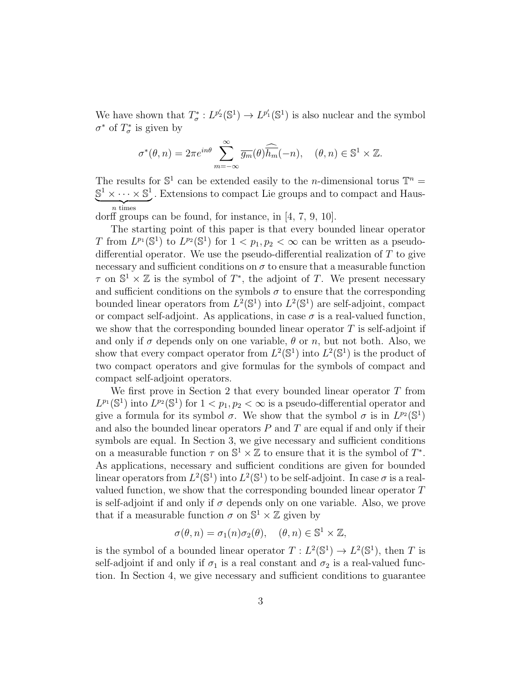We have shown that  $T^*_{\sigma}: L^{p'_2}(\mathbb{S}^1) \to L^{p'_1}(\mathbb{S}^1)$  is also nuclear and the symbol  $\sigma^*$  of  $T^*_{\sigma}$  is given by

$$
\sigma^*(\theta, n) = 2\pi e^{in\theta} \sum_{m=-\infty}^{\infty} \overline{g_m}(\theta) \overline{\widehat{h_m}}(-n), \quad (\theta, n) \in \mathbb{S}^1 \times \mathbb{Z}.
$$

The results for  $\mathbb{S}^1$  can be extended easily to the *n*-dimensional torus  $\mathbb{T}^n$  =  $\mathbb{S}^1 \times \cdots \times \mathbb{S}^1$ . Extensions to compact Lie groups and to compact and Haus- $\overbrace{n \text{ times}}$ 

dorff groups can be found, for instance, in [4, 7, 9, 10].

The starting point of this paper is that every bounded linear operator T from  $L^{p_1}(\mathbb{S}^1)$  to  $L^{p_2}(\mathbb{S}^1)$  for  $1 < p_1, p_2 < \infty$  can be written as a pseudodifferential operator. We use the pseudo-differential realization of T to give necessary and sufficient conditions on  $\sigma$  to ensure that a measurable function  $\tau$  on  $\mathbb{S}^1 \times \mathbb{Z}$  is the symbol of  $T^*$ , the adjoint of T. We present necessary and sufficient conditions on the symbols  $\sigma$  to ensure that the corresponding bounded linear operators from  $L^2(\mathbb{S}^1)$  into  $L^2(\mathbb{S}^1)$  are self-adjoint, compact or compact self-adjoint. As applications, in case  $\sigma$  is a real-valued function, we show that the corresponding bounded linear operator  $T$  is self-adjoint if and only if  $\sigma$  depends only on one variable,  $\theta$  or n, but not both. Also, we show that every compact operator from  $L^2(\mathbb{S}^1)$  into  $L^2(\mathbb{S}^1)$  is the product of two compact operators and give formulas for the symbols of compact and compact self-adjoint operators.

We first prove in Section 2 that every bounded linear operator T from  $L^{p_1}(\mathbb{S}^1)$  into  $L^{p_2}(\mathbb{S}^1)$  for  $1 < p_1, p_2 < \infty$  is a pseudo-differential operator and give a formula for its symbol  $\sigma$ . We show that the symbol  $\sigma$  is in  $L^{p_2}(\mathbb{S}^1)$ and also the bounded linear operators  $P$  and  $T$  are equal if and only if their symbols are equal. In Section 3, we give necessary and sufficient conditions on a measurable function  $\tau$  on  $\mathbb{S}^1 \times \mathbb{Z}$  to ensure that it is the symbol of  $T^*$ . As applications, necessary and sufficient conditions are given for bounded linear operators from  $L^2(\mathbb{S}^1)$  into  $L^2(\mathbb{S}^1)$  to be self-adjoint. In case  $\sigma$  is a realvalued function, we show that the corresponding bounded linear operator T is self-adjoint if and only if  $\sigma$  depends only on one variable. Also, we prove that if a measurable function  $\sigma$  on  $\mathbb{S}^1 \times \mathbb{Z}$  given by

$$
\sigma(\theta, n) = \sigma_1(n)\sigma_2(\theta), \quad (\theta, n) \in \mathbb{S}^1 \times \mathbb{Z},
$$

is the symbol of a bounded linear operator  $T: L^2(\mathbb{S}^1) \to L^2(\mathbb{S}^1)$ , then T is self-adjoint if and only if  $\sigma_1$  is a real constant and  $\sigma_2$  is a real-valued function. In Section 4, we give necessary and sufficient conditions to guarantee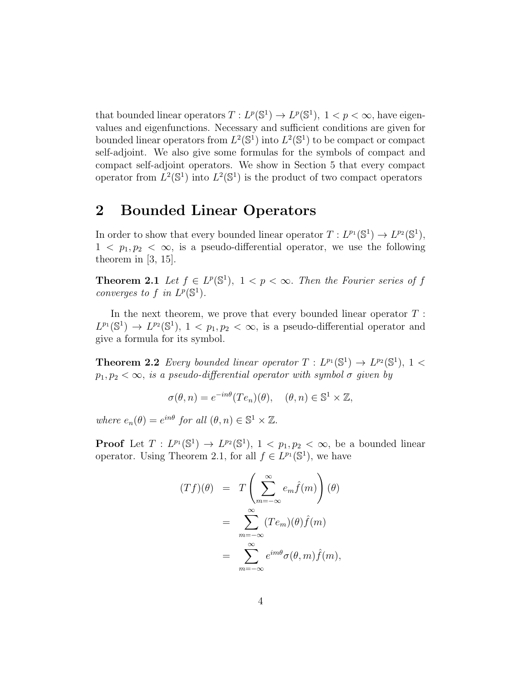that bounded linear operators  $T: L^p(\mathbb{S}^1) \to L^p(\mathbb{S}^1)$ ,  $1 < p < \infty$ , have eigenvalues and eigenfunctions. Necessary and sufficient conditions are given for bounded linear operators from  $L^2(\mathbb{S}^1)$  into  $L^2(\mathbb{S}^1)$  to be compact or compact self-adjoint. We also give some formulas for the symbols of compact and compact self-adjoint operators. We show in Section 5 that every compact operator from  $L^2(\mathbb{S}^1)$  into  $L^2(\mathbb{S}^1)$  is the product of two compact operators

## 2 Bounded Linear Operators

In order to show that every bounded linear operator  $T: L^{p_1}(\mathbb{S}^1) \to L^{p_2}(\mathbb{S}^1)$ ,  $1 < p_1, p_2 < \infty$ , is a pseudo-differential operator, we use the following theorem in [3, 15].

**Theorem 2.1** Let  $f \in L^p(\mathbb{S}^1)$ ,  $1 < p < \infty$ . Then the Fourier series of f converges to f in  $L^p(\mathbb{S}^1)$ .

In the next theorem, we prove that every bounded linear operator  $T$ :  $L^{p_1}(\mathbb{S}^1) \to L^{p_2}(\mathbb{S}^1), 1 < p_1, p_2 < \infty$ , is a pseudo-differential operator and give a formula for its symbol.

**Theorem 2.2** Every bounded linear operator  $T: L^{p_1}(\mathbb{S}^1) \to L^{p_2}(\mathbb{S}^1)$ , 1 <  $p_1, p_2 < \infty$ , is a pseudo-differential operator with symbol  $\sigma$  given by

$$
\sigma(\theta, n) = e^{-in\theta}(Te_n)(\theta), \quad (\theta, n) \in \mathbb{S}^1 \times \mathbb{Z},
$$

where  $e_n(\theta) = e^{in\theta}$  for all  $(\theta, n) \in \mathbb{S}^1 \times \mathbb{Z}$ .

**Proof** Let  $T: L^{p_1}(\mathbb{S}^1) \to L^{p_2}(\mathbb{S}^1)$ ,  $1 < p_1, p_2 < \infty$ , be a bounded linear operator. Using Theorem 2.1, for all  $f \in L^{p_1}(\mathbb{S}^1)$ , we have

$$
(Tf)(\theta) = T\left(\sum_{m=-\infty}^{\infty} e_m \hat{f}(m)\right)(\theta)
$$
  
= 
$$
\sum_{m=-\infty}^{\infty} (Te_m)(\theta) \hat{f}(m)
$$
  
= 
$$
\sum_{m=-\infty}^{\infty} e^{im\theta} \sigma(\theta, m) \hat{f}(m),
$$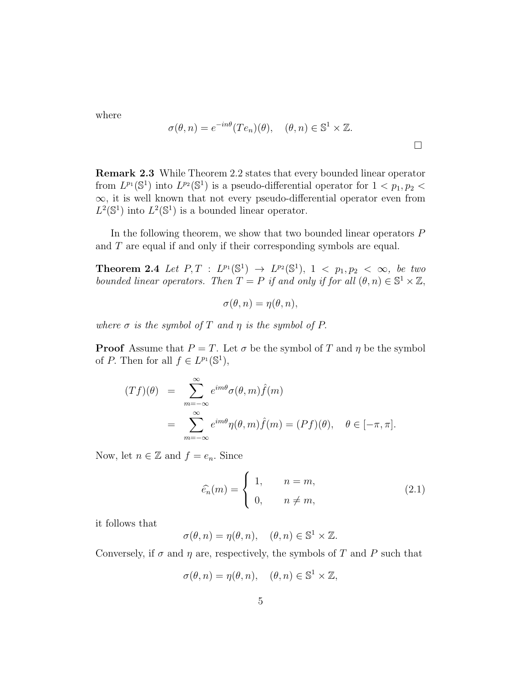where

$$
\sigma(\theta, n) = e^{-in\theta}(Te_n)(\theta), \quad (\theta, n) \in \mathbb{S}^1 \times \mathbb{Z}.
$$

Remark 2.3 While Theorem 2.2 states that every bounded linear operator from  $L^{p_1}(\mathbb{S}^1)$  into  $L^{p_2}(\mathbb{S}^1)$  is a pseudo-differential operator for  $1 < p_1, p_2 <$ ∞, it is well known that not every pseudo-differential operator even from  $L^2(\mathbb{S}^1)$  into  $L^2(\mathbb{S}^1)$  is a bounded linear operator.

In the following theorem, we show that two bounded linear operators  $P$ and T are equal if and only if their corresponding symbols are equal.

**Theorem 2.4** Let  $P, T : L^{p_1}(\mathbb{S}^1) \to L^{p_2}(\mathbb{S}^1), 1 < p_1, p_2 < \infty$ , be two bounded linear operators. Then  $T = P$  if and only if for all  $(\theta, n) \in \mathbb{S}^1 \times \mathbb{Z}$ ,

$$
\sigma(\theta, n) = \eta(\theta, n),
$$

where  $\sigma$  is the symbol of T and  $\eta$  is the symbol of P.

**Proof** Assume that  $P = T$ . Let  $\sigma$  be the symbol of T and  $\eta$  be the symbol of P. Then for all  $f \in L^{p_1}(\mathbb{S}^1)$ ,

$$
(Tf)(\theta) = \sum_{m=-\infty}^{\infty} e^{im\theta} \sigma(\theta, m) \hat{f}(m)
$$
  
= 
$$
\sum_{m=-\infty}^{\infty} e^{im\theta} \eta(\theta, m) \hat{f}(m) = (Pf)(\theta), \quad \theta \in [-\pi, \pi].
$$

Now, let  $n \in \mathbb{Z}$  and  $f = e_n$ . Since

$$
\widehat{e_n}(m) = \begin{cases} 1, & n = m, \\ 0, & n \neq m, \end{cases}
$$
 (2.1)

it follows that

$$
\sigma(\theta, n) = \eta(\theta, n), \quad (\theta, n) \in \mathbb{S}^1 \times \mathbb{Z}.
$$

Conversely, if  $\sigma$  and  $\eta$  are, respectively, the symbols of T and P such that

$$
\sigma(\theta, n) = \eta(\theta, n), \quad (\theta, n) \in \mathbb{S}^1 \times \mathbb{Z},
$$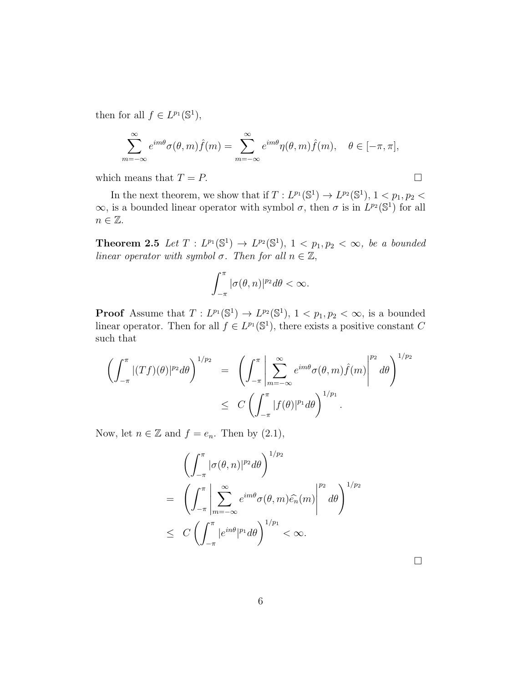then for all  $f \in L^{p_1}(\mathbb{S}^1)$ ,

$$
\sum_{m=-\infty}^{\infty} e^{im\theta} \sigma(\theta, m) \hat{f}(m) = \sum_{m=-\infty}^{\infty} e^{im\theta} \eta(\theta, m) \hat{f}(m), \quad \theta \in [-\pi, \pi],
$$

which means that  $T = P$ .

In the next theorem, we show that if  $T: L^{p_1}(\mathbb{S}^1) \to L^{p_2}(\mathbb{S}^1)$ ,  $1 < p_1, p_2 <$  $\infty$ , is a bounded linear operator with symbol  $\sigma$ , then  $\sigma$  is in  $L^{p_2}(\mathbb{S}^1)$  for all  $n \in \mathbb{Z}$ .

**Theorem 2.5** Let  $T: L^{p_1}(\mathbb{S}^1) \to L^{p_2}(\mathbb{S}^1)$ ,  $1 < p_1, p_2 < \infty$ , be a bounded linear operator with symbol  $\sigma$ . Then for all  $n \in \mathbb{Z}$ ,

$$
\int_{-\pi}^{\pi} |\sigma(\theta, n)|^{p_2} d\theta < \infty.
$$

**Proof** Assume that  $T: L^{p_1}(\mathbb{S}^1) \to L^{p_2}(\mathbb{S}^1)$ ,  $1 < p_1, p_2 < \infty$ , is a bounded linear operator. Then for all  $f \in L^{p_1}(\mathbb{S}^1)$ , there exists a positive constant C such that

$$
\left(\int_{-\pi}^{\pi} |(Tf)(\theta)|^{p_2} d\theta\right)^{1/p_2} = \left(\int_{-\pi}^{\pi} \left|\sum_{m=-\infty}^{\infty} e^{im\theta} \sigma(\theta, m) \widehat{f}(m)\right|^{p_2} d\theta\right)^{1/p_2}
$$
  

$$
\leq C \left(\int_{-\pi}^{\pi} |f(\theta)|^{p_1} d\theta\right)^{1/p_1}.
$$

Now, let  $n \in \mathbb{Z}$  and  $f = e_n$ . Then by  $(2.1)$ ,

$$
\left(\int_{-\pi}^{\pi} |\sigma(\theta, n)|^{p_2} d\theta\right)^{1/p_2}
$$
\n
$$
= \left(\int_{-\pi}^{\pi} \left|\sum_{m=-\infty}^{\infty} e^{im\theta} \sigma(\theta, m) \widehat{e_n}(m)\right|^{p_2} d\theta\right)^{1/p_2}
$$
\n
$$
\leq C \left(\int_{-\pi}^{\pi} |e^{in\theta}|^{p_1} d\theta\right)^{1/p_1} < \infty.
$$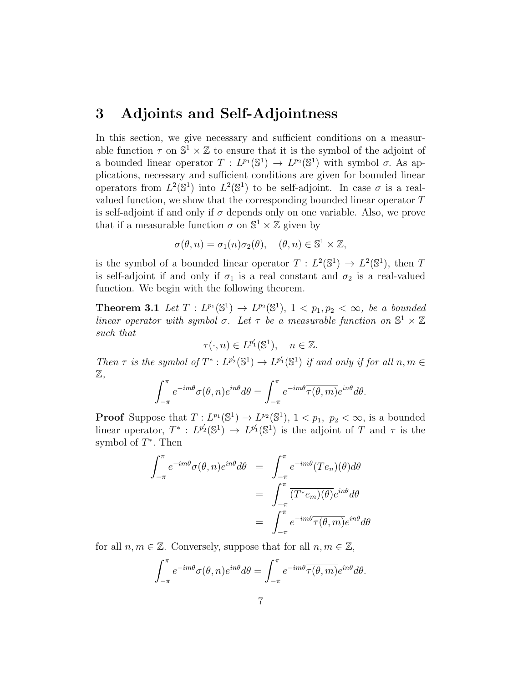#### 3 Adjoints and Self-Adjointness

In this section, we give necessary and sufficient conditions on a measurable function  $\tau$  on  $\mathbb{S}^1 \times \mathbb{Z}$  to ensure that it is the symbol of the adjoint of a bounded linear operator  $T: L^{p_1}(\mathbb{S}^1) \to L^{p_2}(\mathbb{S}^1)$  with symbol  $\sigma$ . As applications, necessary and sufficient conditions are given for bounded linear operators from  $L^2(\mathbb{S}^1)$  into  $L^2(\mathbb{S}^1)$  to be self-adjoint. In case  $\sigma$  is a realvalued function, we show that the corresponding bounded linear operator T is self-adjoint if and only if  $\sigma$  depends only on one variable. Also, we prove that if a measurable function  $\sigma$  on  $\mathbb{S}^1 \times \mathbb{Z}$  given by

$$
\sigma(\theta, n) = \sigma_1(n)\sigma_2(\theta), \quad (\theta, n) \in \mathbb{S}^1 \times \mathbb{Z},
$$

is the symbol of a bounded linear operator  $T: L^2(\mathbb{S}^1) \to L^2(\mathbb{S}^1)$ , then T is self-adjoint if and only if  $\sigma_1$  is a real constant and  $\sigma_2$  is a real-valued function. We begin with the following theorem.

**Theorem 3.1** Let  $T: L^{p_1}(\mathbb{S}^1) \to L^{p_2}(\mathbb{S}^1)$ ,  $1 < p_1, p_2 < \infty$ , be a bounded linear operator with symbol  $\sigma$ . Let  $\tau$  be a measurable function on  $\mathbb{S}^1 \times \mathbb{Z}$ such that

$$
\tau(\cdot, n) \in L^{p'_1}(\mathbb{S}^1), \quad n \in \mathbb{Z}.
$$

Then  $\tau$  is the symbol of  $T^*: L^{p'_2}(\mathbb{S}^1) \to L^{p'_1}(\mathbb{S}^1)$  if and only if for all  $n, m \in$  $\mathbb{Z}.$ 

$$
\int_{-\pi}^{\pi} e^{-im\theta} \sigma(\theta, n) e^{in\theta} d\theta = \int_{-\pi}^{\pi} e^{-im\theta} \overline{\tau(\theta, m)} e^{in\theta} d\theta.
$$

**Proof** Suppose that  $T: L^{p_1}(\mathbb{S}^1) \to L^{p_2}(\mathbb{S}^1)$ ,  $1 < p_1, p_2 < \infty$ , is a bounded linear operator,  $T^* : L^{p'_2}(\mathbb{S}^1) \to L^{p'_1}(\mathbb{S}^1)$  is the adjoint of T and  $\tau$  is the symbol of  $T^*$ . Then

$$
\int_{-\pi}^{\pi} e^{-im\theta} \sigma(\theta, n) e^{in\theta} d\theta = \int_{-\pi}^{\pi} e^{-im\theta} (Te_n)(\theta) d\theta
$$

$$
= \int_{-\pi}^{\pi} \overline{(T^* e_m)(\theta)} e^{in\theta} d\theta
$$

$$
= \int_{-\pi}^{\pi} e^{-im\theta} \overline{\tau(\theta, m)} e^{in\theta} d\theta
$$

for all  $n, m \in \mathbb{Z}$ . Conversely, suppose that for all  $n, m \in \mathbb{Z}$ ,

$$
\int_{-\pi}^{\pi} e^{-im\theta} \sigma(\theta, n) e^{in\theta} d\theta = \int_{-\pi}^{\pi} e^{-im\theta} \overline{\tau(\theta, m)} e^{in\theta} d\theta.
$$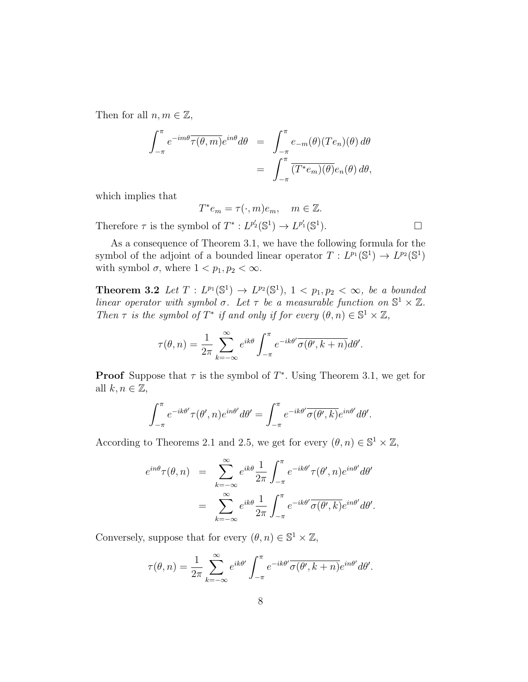Then for all  $n, m \in \mathbb{Z}$ ,

$$
\int_{-\pi}^{\pi} e^{-im\theta} \overline{\tau(\theta, m)} e^{in\theta} d\theta = \int_{-\pi}^{\pi} e_{-m}(\theta) (Te_n)(\theta) d\theta
$$

$$
= \int_{-\pi}^{\pi} \overline{(T^*e_m)(\theta)} e_n(\theta) d\theta,
$$

which implies that

Therefore

$$
T^*e_m = \tau(\cdot, m)e_m, \quad m \in \mathbb{Z}.
$$
  
\n
$$
\tau \text{ is the symbol of } T^* : L^{p'_2}(\mathbb{S}^1) \to L^{p'_1}(\mathbb{S}^1).
$$

As a consequence of Theorem 3.1, we have the following formula for the symbol of the adjoint of a bounded linear operator  $T: L^{p_1}(\mathbb{S}^1) \to L^{p_2}(\mathbb{S}^1)$ with symbol  $\sigma$ , where  $1 < p_1, p_2 < \infty$ .

**Theorem 3.2** Let  $T: L^{p_1}(\mathbb{S}^1) \to L^{p_2}(\mathbb{S}^1)$ ,  $1 < p_1, p_2 < \infty$ , be a bounded linear operator with symbol  $\sigma$ . Let  $\tau$  be a measurable function on  $\mathbb{S}^1 \times \mathbb{Z}$ . Then  $\tau$  is the symbol of  $T^*$  if and only if for every  $(\theta, n) \in \mathbb{S}^1 \times \mathbb{Z}$ ,

$$
\tau(\theta, n) = \frac{1}{2\pi} \sum_{k=-\infty}^{\infty} e^{ik\theta} \int_{-\pi}^{\pi} e^{-ik\theta'} \overline{\sigma(\theta', k+n)} d\theta'.
$$

**Proof** Suppose that  $\tau$  is the symbol of  $T^*$ . Using Theorem 3.1, we get for all  $k, n \in \mathbb{Z}$ ,

$$
\int_{-\pi}^{\pi} e^{-ik\theta'} \tau(\theta', n) e^{in\theta'} d\theta' = \int_{-\pi}^{\pi} e^{-ik\theta'} \overline{\sigma(\theta', k)} e^{in\theta'} d\theta'.
$$

According to Theorems 2.1 and 2.5, we get for every  $(\theta, n) \in \mathbb{S}^1 \times \mathbb{Z}$ ,

$$
e^{in\theta}\tau(\theta,n) = \sum_{k=-\infty}^{\infty} e^{ik\theta} \frac{1}{2\pi} \int_{-\pi}^{\pi} e^{-ik\theta'} \tau(\theta',n) e^{in\theta'} d\theta'
$$

$$
= \sum_{k=-\infty}^{\infty} e^{ik\theta} \frac{1}{2\pi} \int_{-\pi}^{\pi} e^{-ik\theta'} \overline{\sigma(\theta',k)} e^{in\theta'} d\theta'.
$$

Conversely, suppose that for every  $(\theta, n) \in \mathbb{S}^1 \times \mathbb{Z}$ ,

$$
\tau(\theta, n) = \frac{1}{2\pi} \sum_{k=-\infty}^{\infty} e^{ik\theta'} \int_{-\pi}^{\pi} e^{-ik\theta'} \overline{\sigma(\theta', k+n)} e^{in\theta'} d\theta'.
$$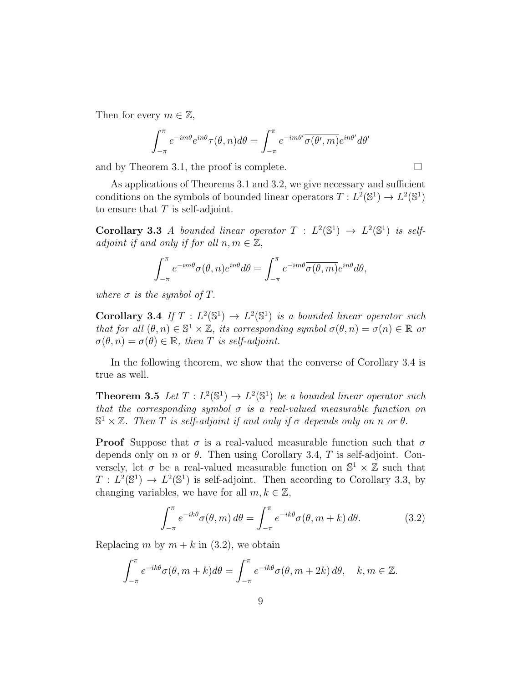Then for every  $m \in \mathbb{Z}$ ,

$$
\int_{-\pi}^{\pi} e^{-im\theta} e^{in\theta} \tau(\theta, n) d\theta = \int_{-\pi}^{\pi} e^{-im\theta'} \overline{\sigma(\theta', m)} e^{in\theta'} d\theta'
$$

and by Theorem 3.1, the proof is complete.  $\Box$ 

As applications of Theorems 3.1 and 3.2, we give necessary and sufficient conditions on the symbols of bounded linear operators  $T: L^2(\mathbb{S}^1) \to L^2(\mathbb{S}^1)$ to ensure that  $T$  is self-adjoint.

**Corollary 3.3** A bounded linear operator  $T : L^2(\mathbb{S}^1) \to L^2(\mathbb{S}^1)$  is selfadjoint if and only if for all  $n, m \in \mathbb{Z}$ ,

$$
\int_{-\pi}^{\pi} e^{-im\theta} \sigma(\theta, n) e^{in\theta} d\theta = \int_{-\pi}^{\pi} e^{-im\theta} \overline{\sigma(\theta, m)} e^{in\theta} d\theta,
$$

where  $\sigma$  is the symbol of T.

**Corollary 3.4** If  $T: L^2(\mathbb{S}^1) \to L^2(\mathbb{S}^1)$  is a bounded linear operator such that for all  $(\theta, n) \in \mathbb{S}^1 \times \mathbb{Z}$ , its corresponding symbol  $\sigma(\theta, n) = \sigma(n) \in \mathbb{R}$  or  $\sigma(\theta, n) = \sigma(\theta) \in \mathbb{R}$ , then T is self-adjoint.

In the following theorem, we show that the converse of Corollary 3.4 is true as well.

**Theorem 3.5** Let  $T: L^2(\mathbb{S}^1) \to L^2(\mathbb{S}^1)$  be a bounded linear operator such that the corresponding symbol  $\sigma$  is a real-valued measurable function on  $\mathbb{S}^1 \times \mathbb{Z}$ . Then T is self-adjoint if and only if  $\sigma$  depends only on n or  $\theta$ .

**Proof** Suppose that  $\sigma$  is a real-valued measurable function such that  $\sigma$ depends only on n or  $\theta$ . Then using Corollary 3.4, T is self-adjoint. Conversely, let  $\sigma$  be a real-valued measurable function on  $\mathbb{S}^1 \times \mathbb{Z}$  such that  $T : L^2(\mathbb{S}^1) \to L^2(\mathbb{S}^1)$  is self-adjoint. Then according to Corollary 3.3, by changing variables, we have for all  $m, k \in \mathbb{Z}$ ,

$$
\int_{-\pi}^{\pi} e^{-ik\theta} \sigma(\theta, m) d\theta = \int_{-\pi}^{\pi} e^{-ik\theta} \sigma(\theta, m + k) d\theta.
$$
 (3.2)

Replacing m by  $m + k$  in (3.2), we obtain

$$
\int_{-\pi}^{\pi} e^{-ik\theta} \sigma(\theta, m + k) d\theta = \int_{-\pi}^{\pi} e^{-ik\theta} \sigma(\theta, m + 2k) d\theta, \quad k, m \in \mathbb{Z}.
$$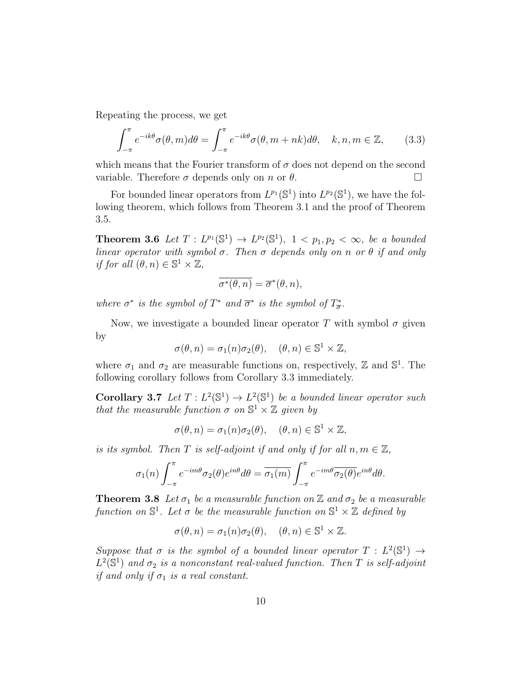Repeating the process, we get

$$
\int_{-\pi}^{\pi} e^{-ik\theta} \sigma(\theta, m) d\theta = \int_{-\pi}^{\pi} e^{-ik\theta} \sigma(\theta, m + nk) d\theta, \quad k, n, m \in \mathbb{Z}, \qquad (3.3)
$$

which means that the Fourier transform of  $\sigma$  does not depend on the second variable. Therefore  $\sigma$  depends only on n or  $\theta$ .

For bounded linear operators from  $L^{p_1}(\mathbb{S}^1)$  into  $L^{p_2}(\mathbb{S}^1)$ , we have the following theorem, which follows from Theorem 3.1 and the proof of Theorem 3.5.

**Theorem 3.6** Let  $T: L^{p_1}(\mathbb{S}^1) \to L^{p_2}(\mathbb{S}^1)$ ,  $1 < p_1, p_2 < \infty$ , be a bounded linear operator with symbol  $\sigma$ . Then  $\sigma$  depends only on n or  $\theta$  if and only if for all  $(\theta, n) \in \mathbb{S}^1 \times \mathbb{Z}$ ,

$$
\overline{\sigma^*(\theta, n)} = \overline{\sigma}^*(\theta, n),
$$

where  $\sigma^*$  is the symbol of  $T^*$  and  $\overline{\sigma}^*$  is the symbol of  $T^*_{\overline{\sigma}}$ .

Now, we investigate a bounded linear operator T with symbol  $\sigma$  given by

$$
\sigma(\theta, n) = \sigma_1(n)\sigma_2(\theta), \quad (\theta, n) \in \mathbb{S}^1 \times \mathbb{Z},
$$

where  $\sigma_1$  and  $\sigma_2$  are measurable functions on, respectively, Z and  $\mathbb{S}^1$ . The following corollary follows from Corollary 3.3 immediately.

**Corollary 3.7** Let  $T: L^2(\mathbb{S}^1) \to L^2(\mathbb{S}^1)$  be a bounded linear operator such that the measurable function  $\sigma$  on  $\mathbb{S}^1 \times \mathbb{Z}$  given by

$$
\sigma(\theta, n) = \sigma_1(n)\sigma_2(\theta), \quad (\theta, n) \in \mathbb{S}^1 \times \mathbb{Z},
$$

is its symbol. Then T is self-adjoint if and only if for all  $n, m \in \mathbb{Z}$ ,

$$
\sigma_1(n) \int_{-\pi}^{\pi} e^{-im\theta} \sigma_2(\theta) e^{in\theta} d\theta = \overline{\sigma_1(m)} \int_{-\pi}^{\pi} e^{-im\theta} \overline{\sigma_2(\theta)} e^{in\theta} d\theta.
$$

**Theorem 3.8** Let  $\sigma_1$  be a measurable function on  $\mathbb{Z}$  and  $\sigma_2$  be a measurable function on  $\mathbb{S}^1$ . Let  $\sigma$  be the measurable function on  $\mathbb{S}^1 \times \mathbb{Z}$  defined by

$$
\sigma(\theta, n) = \sigma_1(n)\sigma_2(\theta), \quad (\theta, n) \in \mathbb{S}^1 \times \mathbb{Z}.
$$

Suppose that  $\sigma$  is the symbol of a bounded linear operator  $T : L^2(\mathbb{S}^1) \to$  $L^2(\mathbb{S}^1)$  and  $\sigma_2$  is a nonconstant real-valued function. Then T is self-adjoint if and only if  $\sigma_1$  is a real constant.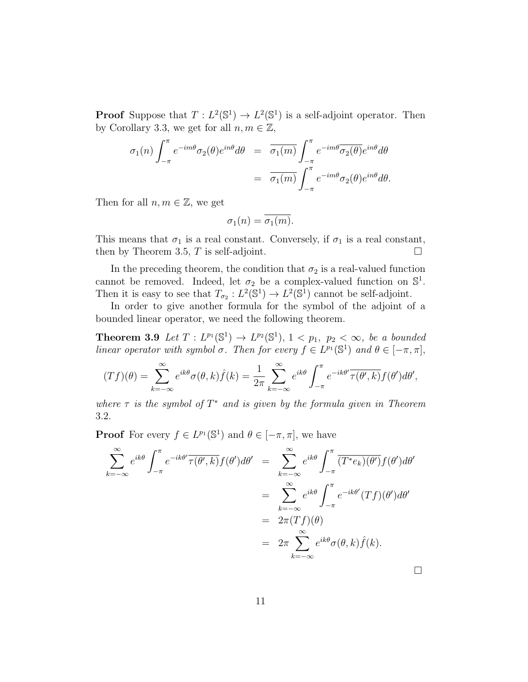**Proof** Suppose that  $T: L^2(\mathbb{S}^1) \to L^2(\mathbb{S}^1)$  is a self-adjoint operator. Then by Corollary 3.3, we get for all  $n, m \in \mathbb{Z}$ ,

$$
\sigma_1(n) \int_{-\pi}^{\pi} e^{-im\theta} \sigma_2(\theta) e^{in\theta} d\theta = \overline{\sigma_1(m)} \int_{-\pi}^{\pi} e^{-im\theta} \overline{\sigma_2(\theta)} e^{in\theta} d\theta
$$

$$
= \overline{\sigma_1(m)} \int_{-\pi}^{\pi} e^{-im\theta} \sigma_2(\theta) e^{in\theta} d\theta.
$$

Then for all  $n, m \in \mathbb{Z}$ , we get

$$
\sigma_1(n) = \overline{\sigma_1(m)}.
$$

This means that  $\sigma_1$  is a real constant. Conversely, if  $\sigma_1$  is a real constant, then by Theorem 3.5, T is self-adjoint.  $\square$ 

In the preceding theorem, the condition that  $\sigma_2$  is a real-valued function cannot be removed. Indeed, let  $\sigma_2$  be a complex-valued function on  $\mathbb{S}^1$ . Then it is easy to see that  $T_{\sigma_2}: L^2(\mathbb{S}^1) \to L^2(\mathbb{S}^1)$  cannot be self-adjoint.

In order to give another formula for the symbol of the adjoint of a bounded linear operator, we need the following theorem.

**Theorem 3.9** Let  $T: L^{p_1}(\mathbb{S}^1) \to L^{p_2}(\mathbb{S}^1)$ ,  $1 < p_1, p_2 < \infty$ , be a bounded linear operator with symbol  $\sigma$ . Then for every  $f \in L^{p_1}(\mathbb{S}^1)$  and  $\theta \in [-\pi, \pi]$ ,

$$
(Tf)(\theta) = \sum_{k=-\infty}^{\infty} e^{ik\theta} \sigma(\theta, k) \hat{f}(k) = \frac{1}{2\pi} \sum_{k=-\infty}^{\infty} e^{ik\theta} \int_{-\pi}^{\pi} e^{-ik\theta'} \overline{\tau(\theta', k)} f(\theta') d\theta',
$$

where  $\tau$  is the symbol of  $T^*$  and is given by the formula given in Theorem 3.2.

**Proof** For every  $f \in L^{p_1}(\mathbb{S}^1)$  and  $\theta \in [-\pi, \pi]$ , we have

$$
\sum_{k=-\infty}^{\infty} e^{ik\theta} \int_{-\pi}^{\pi} e^{-ik\theta'} \overline{\tau(\theta',k)} f(\theta') d\theta' = \sum_{k=-\infty}^{\infty} e^{ik\theta} \int_{-\pi}^{\pi} (\overline{T^*e_k)(\theta')} f(\theta') d\theta'
$$
  

$$
= \sum_{k=-\infty}^{\infty} e^{ik\theta} \int_{-\pi}^{\pi} e^{-ik\theta'} (Tf)(\theta') d\theta'
$$
  

$$
= 2\pi (Tf)(\theta)
$$
  

$$
= 2\pi \sum_{k=-\infty}^{\infty} e^{ik\theta} \sigma(\theta,k) \hat{f}(k).
$$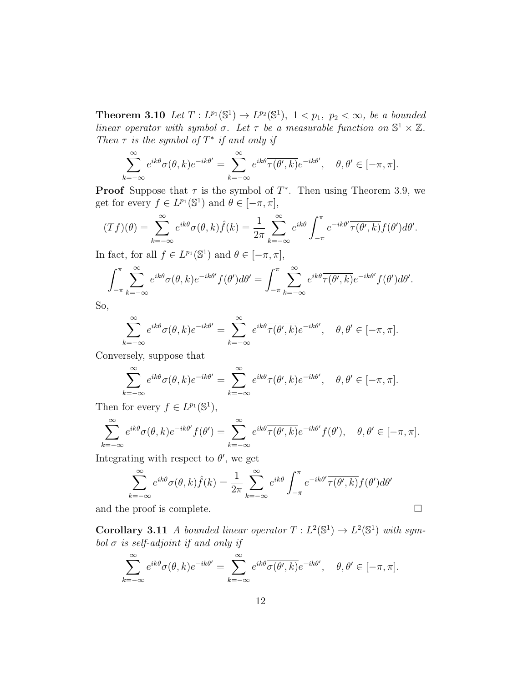**Theorem 3.10** Let  $T: L^{p_1}(\mathbb{S}^1) \to L^{p_2}(\mathbb{S}^1)$ ,  $1 < p_1, p_2 < \infty$ , be a bounded linear operator with symbol  $\sigma$ . Let  $\tau$  be a measurable function on  $\mathbb{S}^1 \times \mathbb{Z}$ . Then  $\tau$  is the symbol of  $T^*$  if and only if

$$
\sum_{k=-\infty}^{\infty}e^{ik\theta}\sigma(\theta,k)e^{-ik\theta'}=\sum_{k=-\infty}^{\infty}e^{ik\theta}\overline{\tau(\theta',k)}e^{-ik\theta'},\quad \theta,\theta'\in[-\pi,\pi].
$$

**Proof** Suppose that  $\tau$  is the symbol of  $T^*$ . Then using Theorem 3.9, we get for every  $f \in L^{p_1}(\mathbb{S}^1)$  and  $\theta \in [-\pi, \pi]$ ,

$$
(Tf)(\theta) = \sum_{k=-\infty}^{\infty} e^{ik\theta} \sigma(\theta, k) \hat{f}(k) = \frac{1}{2\pi} \sum_{k=-\infty}^{\infty} e^{ik\theta} \int_{-\pi}^{\pi} e^{-ik\theta'} \overline{\tau(\theta', k)} f(\theta') d\theta'.
$$

In fact, for all  $f \in L^{p_1}(\mathbb{S}^1)$  and  $\theta \in [-\pi, \pi]$ ,

$$
\int_{-\pi}^{\pi} \sum_{k=-\infty}^{\infty} e^{ik\theta} \sigma(\theta, k) e^{-ik\theta'} f(\theta') d\theta' = \int_{-\pi}^{\pi} \sum_{k=-\infty}^{\infty} e^{ik\theta} \overline{\tau(\theta', k)} e^{-ik\theta'} f(\theta') d\theta'.
$$

So,

$$
\sum_{k=-\infty}^{\infty} e^{ik\theta} \sigma(\theta, k) e^{-ik\theta'} = \sum_{k=-\infty}^{\infty} e^{ik\theta} \overline{\tau(\theta', k)} e^{-ik\theta'}, \quad \theta, \theta' \in [-\pi, \pi].
$$

Conversely, suppose that

$$
\sum_{k=-\infty}^{\infty} e^{ik\theta} \sigma(\theta, k) e^{-ik\theta'} = \sum_{k=-\infty}^{\infty} e^{ik\theta} \overline{\tau(\theta', k)} e^{-ik\theta'}, \quad \theta, \theta' \in [-\pi, \pi].
$$

Then for every  $f \in L^{p_1}(\mathbb{S}^1)$ ,

$$
\sum_{k=-\infty}^{\infty} e^{ik\theta} \sigma(\theta, k) e^{-ik\theta'} f(\theta') = \sum_{k=-\infty}^{\infty} e^{ik\theta} \overline{\tau(\theta', k)} e^{-ik\theta'} f(\theta'), \quad \theta, \theta' \in [-\pi, \pi].
$$

Integrating with respect to  $\theta'$ , we get

$$
\sum_{k=-\infty}^{\infty} e^{ik\theta} \sigma(\theta, k) \hat{f}(k) = \frac{1}{2\pi} \sum_{k=-\infty}^{\infty} e^{ik\theta} \int_{-\pi}^{\pi} e^{-ik\theta'} \overline{\tau(\theta', k)} f(\theta') d\theta'
$$

and the proof is complete.  $\Box$ 

**Corollary 3.11** A bounded linear operator  $T: L^2(\mathbb{S}^1) \to L^2(\mathbb{S}^1)$  with symbol  $\sigma$  is self-adjoint if and only if

$$
\sum_{k=-\infty}^{\infty} e^{ik\theta} \sigma(\theta, k) e^{-ik\theta'} = \sum_{k=-\infty}^{\infty} e^{ik\theta} \overline{\sigma(\theta', k)} e^{-ik\theta'}, \quad \theta, \theta' \in [-\pi, \pi].
$$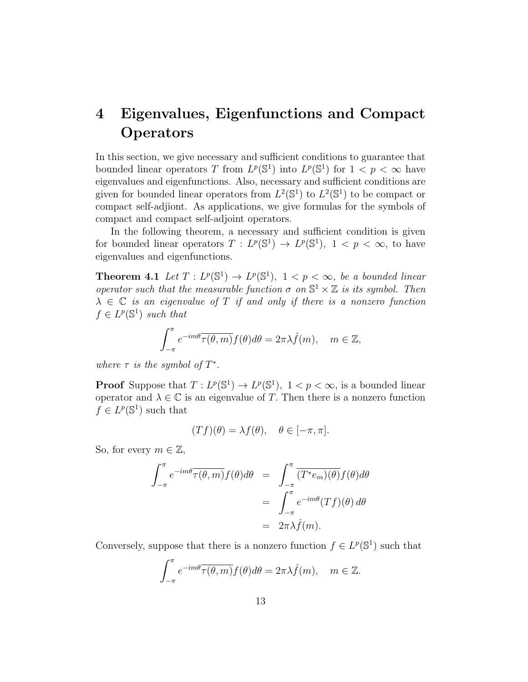# 4 Eigenvalues, Eigenfunctions and Compact **Operators**

In this section, we give necessary and sufficient conditions to guarantee that bounded linear operators T from  $L^p(\mathbb{S}^1)$  into  $L^p(\mathbb{S}^1)$  for  $1 < p < \infty$  have eigenvalues and eigenfunctions. Also, necessary and sufficient conditions are given for bounded linear operators from  $L^2(\mathbb{S}^1)$  to  $L^2(\mathbb{S}^1)$  to be compact or compact self-adjiont. As applications, we give formulas for the symbols of compact and compact self-adjoint operators.

In the following theorem, a necessary and sufficient condition is given for bounded linear operators  $T: L^p(\mathbb{S}^1) \to L^p(\mathbb{S}^1)$ ,  $1 < p < \infty$ , to have eigenvalues and eigenfunctions.

**Theorem 4.1** Let  $T: L^p(\mathbb{S}^1) \to L^p(\mathbb{S}^1)$ ,  $1 < p < \infty$ , be a bounded linear operator such that the measurable function  $\sigma$  on  $\mathbb{S}^1 \times \mathbb{Z}$  is its symbol. Then  $\lambda \in \mathbb{C}$  is an eigenvalue of T if and only if there is a nonzero function  $f \in L^p(\mathbb{S}^1)$  such that

$$
\int_{-\pi}^{\pi} e^{-im\theta} \overline{\tau(\theta, m)} f(\theta) d\theta = 2\pi \lambda \hat{f}(m), \quad m \in \mathbb{Z},
$$

where  $\tau$  is the symbol of  $T^*$ .

**Proof** Suppose that  $T: L^p(\mathbb{S}^1) \to L^p(\mathbb{S}^1)$ ,  $1 < p < \infty$ , is a bounded linear operator and  $\lambda \in \mathbb{C}$  is an eigenvalue of T. Then there is a nonzero function  $f \in L^p(\mathbb{S}^1)$  such that

$$
(Tf)(\theta) = \lambda f(\theta), \quad \theta \in [-\pi, \pi].
$$

So, for every  $m \in \mathbb{Z}$ ,

$$
\int_{-\pi}^{\pi} e^{-im\theta} \overline{\tau(\theta, m)} f(\theta) d\theta = \int_{-\pi}^{\pi} \overline{(T^* e_m)(\theta)} f(\theta) d\theta
$$

$$
= \int_{-\pi}^{\pi} e^{-im\theta} (Tf)(\theta) d\theta
$$

$$
= 2\pi \lambda \hat{f}(m).
$$

Conversely, suppose that there is a nonzero function  $f \in L^p(\mathbb{S}^1)$  such that

$$
\int_{-\pi}^{\pi} e^{-im\theta} \overline{\tau(\theta, m)} f(\theta) d\theta = 2\pi \lambda \hat{f}(m), \quad m \in \mathbb{Z}.
$$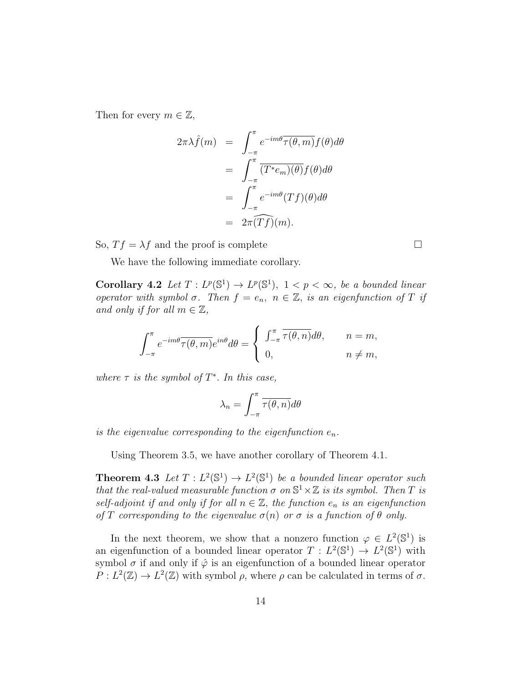Then for every  $m \in \mathbb{Z}$ ,

$$
2\pi\lambda \hat{f}(m) = \int_{-\pi}^{\pi} e^{-im\theta} \overline{\tau(\theta, m)} f(\theta) d\theta
$$
  
= 
$$
\int_{-\pi}^{\pi} \overline{(T^*e_m)(\theta)} f(\theta) d\theta
$$
  
= 
$$
\int_{-\pi}^{\pi} e^{-im\theta} (Tf)(\theta) d\theta
$$
  
= 
$$
2\pi \overline{(Tf)}(m).
$$

So,  $Tf = \lambda f$  and the proof is complete  $\square$ 

We have the following immediate corollary.

Corollary 4.2 Let  $T: L^p(\mathbb{S}^1) \to L^p(\mathbb{S}^1)$ ,  $1 < p < \infty$ , be a bounded linear operator with symbol  $\sigma$ . Then  $f = e_n$ ,  $n \in \mathbb{Z}$ , is an eigenfunction of T if and only if for all  $m \in \mathbb{Z}$ ,

$$
\int_{-\pi}^{\pi} e^{-im\theta} \overline{\tau(\theta, m)} e^{in\theta} d\theta = \begin{cases} \int_{-\pi}^{\pi} \overline{\tau(\theta, n)} d\theta, & n = m, \\ 0, & n \neq m, \end{cases}
$$

where  $\tau$  is the symbol of  $T^*$ . In this case,

$$
\lambda_n = \int_{-\pi}^{\pi} \overline{\tau(\theta, n)} d\theta
$$

is the eigenvalue corresponding to the eigenfunction  $e_n$ .

Using Theorem 3.5, we have another corollary of Theorem 4.1.

**Theorem 4.3** Let  $T: L^2(\mathbb{S}^1) \to L^2(\mathbb{S}^1)$  be a bounded linear operator such that the real-valued measurable function  $\sigma$  on  $\mathbb{S}^1 \times \mathbb{Z}$  is its symbol. Then T is self-adjoint if and only if for all  $n \in \mathbb{Z}$ , the function  $e_n$  is an eigenfunction of T corresponding to the eigenvalue  $\sigma(n)$  or  $\sigma$  is a function of  $\theta$  only.

In the next theorem, we show that a nonzero function  $\varphi \in L^2(\mathbb{S}^1)$  is an eigenfunction of a bounded linear operator  $T : L^2(\mathbb{S}^1) \to L^2(\mathbb{S}^1)$  with symbol  $\sigma$  if and only if  $\hat{\varphi}$  is an eigenfunction of a bounded linear operator  $P: L^2(\mathbb{Z}) \to L^2(\mathbb{Z})$  with symbol  $\rho$ , where  $\rho$  can be calculated in terms of  $\sigma$ .

14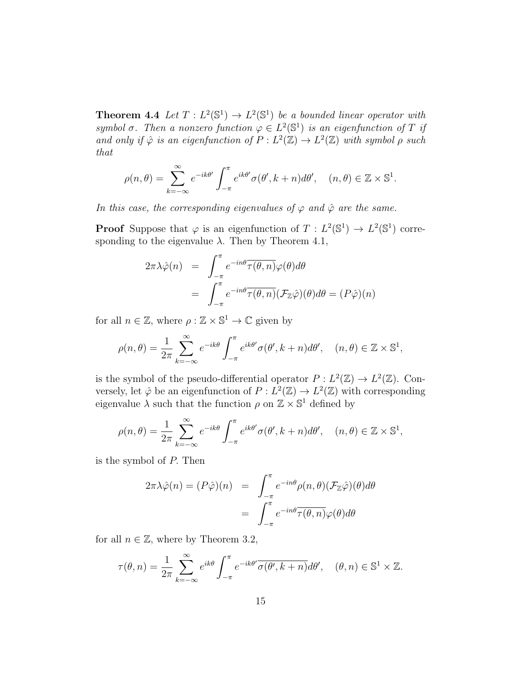**Theorem 4.4** Let  $T: L^2(\mathbb{S}^1) \to L^2(\mathbb{S}^1)$  be a bounded linear operator with symbol  $\sigma$ . Then a nonzero function  $\varphi \in L^2(\mathbb{S}^1)$  is an eigenfunction of T if and only if  $\hat{\varphi}$  is an eigenfunction of  $P: L^2(\mathbb{Z}) \to L^2(\mathbb{Z})$  with symbol  $\rho$  such that

$$
\rho(n,\theta) = \sum_{k=-\infty}^{\infty} e^{-ik\theta'} \int_{-\pi}^{\pi} e^{ik\theta'} \sigma(\theta', k+n) d\theta', \quad (n,\theta) \in \mathbb{Z} \times \mathbb{S}^1.
$$

In this case, the corresponding eigenvalues of  $\varphi$  and  $\hat{\varphi}$  are the same.

**Proof** Suppose that  $\varphi$  is an eigenfunction of  $T: L^2(\mathbb{S}^1) \to L^2(\mathbb{S}^1)$  corresponding to the eigenvalue  $\lambda$ . Then by Theorem 4.1,

$$
2\pi\lambda\hat{\varphi}(n) = \int_{-\pi}^{\pi} e^{-in\theta} \overline{\tau(\theta, n)} \varphi(\theta) d\theta
$$
  
= 
$$
\int_{-\pi}^{\pi} e^{-in\theta} \overline{\tau(\theta, n)} (\mathcal{F}_{\mathbb{Z}}\hat{\varphi})(\theta) d\theta = (P\hat{\varphi})(n)
$$

for all  $n \in \mathbb{Z}$ , where  $\rho : \mathbb{Z} \times \mathbb{S}^1 \to \mathbb{C}$  given by

$$
\rho(n,\theta) = \frac{1}{2\pi} \sum_{k=-\infty}^{\infty} e^{-ik\theta} \int_{-\pi}^{\pi} e^{ik\theta'} \sigma(\theta', k+n) d\theta', \quad (n,\theta) \in \mathbb{Z} \times \mathbb{S}^1,
$$

is the symbol of the pseudo-differential operator  $P: L^2(\mathbb{Z}) \to L^2(\mathbb{Z})$ . Conversely, let  $\hat{\varphi}$  be an eigenfunction of  $P: L^2(\mathbb{Z}) \to L^2(\mathbb{Z})$  with corresponding eigenvalue  $\lambda$  such that the function  $\rho$  on  $\mathbb{Z} \times \mathbb{S}^1$  defined by

$$
\rho(n,\theta) = \frac{1}{2\pi} \sum_{k=-\infty}^{\infty} e^{-ik\theta} \int_{-\pi}^{\pi} e^{ik\theta'} \sigma(\theta', k+n) d\theta', \quad (n,\theta) \in \mathbb{Z} \times \mathbb{S}^1,
$$

is the symbol of P. Then

$$
2\pi\lambda\hat{\varphi}(n) = (P\hat{\varphi})(n) = \int_{-\pi}^{\pi} e^{-in\theta} \rho(n,\theta) (\mathcal{F}_{\mathbb{Z}}\hat{\varphi})(\theta) d\theta
$$

$$
= \int_{-\pi}^{\pi} e^{-in\theta} \overline{\tau(\theta,n)} \varphi(\theta) d\theta
$$

for all  $n \in \mathbb{Z}$ , where by Theorem 3.2,

$$
\tau(\theta, n) = \frac{1}{2\pi} \sum_{k=-\infty}^{\infty} e^{ik\theta} \int_{-\pi}^{\pi} e^{-ik\theta'} \overline{\sigma(\theta', k+n)} d\theta', \quad (\theta, n) \in \mathbb{S}^1 \times \mathbb{Z}.
$$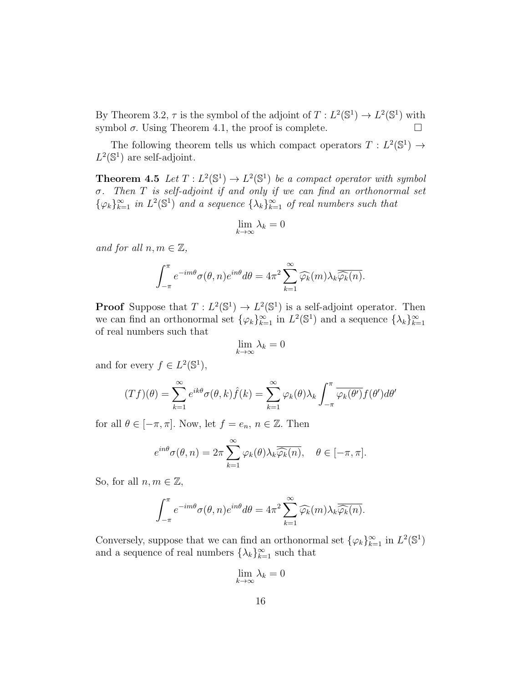By Theorem 3.2,  $\tau$  is the symbol of the adjoint of  $T: L^2(\mathbb{S}^1) \to L^2(\mathbb{S}^1)$  with symbol  $\sigma$ . Using Theorem 4.1, the proof is complete.  $\Box$ 

The following theorem tells us which compact operators  $T : L^2(\mathbb{S}^1) \to$  $L^2(\mathbb{S}^1)$  are self-adjoint.

**Theorem 4.5** Let  $T: L^2(\mathbb{S}^1) \to L^2(\mathbb{S}^1)$  be a compact operator with symbol σ. Then T is self-adjoint if and only if we can find an orthonormal set  $\{\varphi_k\}_{k=1}^{\infty}$  in  $L^2(\mathbb{S}^1)$  and a sequence  $\{\lambda_k\}_{k=1}^{\infty}$  of real numbers such that

$$
\lim_{k\to\infty}\lambda_k=0
$$

and for all  $n, m \in \mathbb{Z}$ ,

$$
\int_{-\pi}^{\pi} e^{-im\theta} \sigma(\theta, n) e^{in\theta} d\theta = 4\pi^2 \sum_{k=1}^{\infty} \widehat{\varphi_k}(m) \lambda_k \overline{\widehat{\varphi_k}(n)}.
$$

**Proof** Suppose that  $T: L^2(\mathbb{S}^1) \to L^2(\mathbb{S}^1)$  is a self-adjoint operator. Then we can find an orthonormal set  $\{\varphi_k\}_{k=1}^{\infty}$  in  $L^2(\mathbb{S}^1)$  and a sequence  $\{\lambda_k\}_{k=1}^{\infty}$ of real numbers such that

$$
\lim_{k \to \infty} \lambda_k = 0
$$

and for every  $f \in L^2(\mathbb{S}^1)$ ,

$$
(Tf)(\theta) = \sum_{k=1}^{\infty} e^{ik\theta} \sigma(\theta, k) \hat{f}(k) = \sum_{k=1}^{\infty} \varphi_k(\theta) \lambda_k \int_{-\pi}^{\pi} \overline{\varphi_k(\theta')} f(\theta') d\theta'
$$

for all  $\theta \in [-\pi, \pi]$ . Now, let  $f = e_n$ ,  $n \in \mathbb{Z}$ . Then

$$
e^{in\theta}\sigma(\theta, n) = 2\pi \sum_{k=1}^{\infty} \varphi_k(\theta) \lambda_k \overline{\widehat{\varphi_k}(n)}, \quad \theta \in [-\pi, \pi].
$$

So, for all  $n, m \in \mathbb{Z}$ ,

$$
\int_{-\pi}^{\pi} e^{-im\theta} \sigma(\theta, n) e^{in\theta} d\theta = 4\pi^2 \sum_{k=1}^{\infty} \widehat{\varphi_k}(m) \lambda_k \overline{\widehat{\varphi_k}(n)}.
$$

Conversely, suppose that we can find an orthonormal set  $\{\varphi_k\}_{k=1}^{\infty}$  in  $L^2(\mathbb{S}^1)$ and a sequence of real numbers  $\{\lambda_k\}_{k=1}^{\infty}$  such that

$$
\lim_{k \to \infty} \lambda_k = 0
$$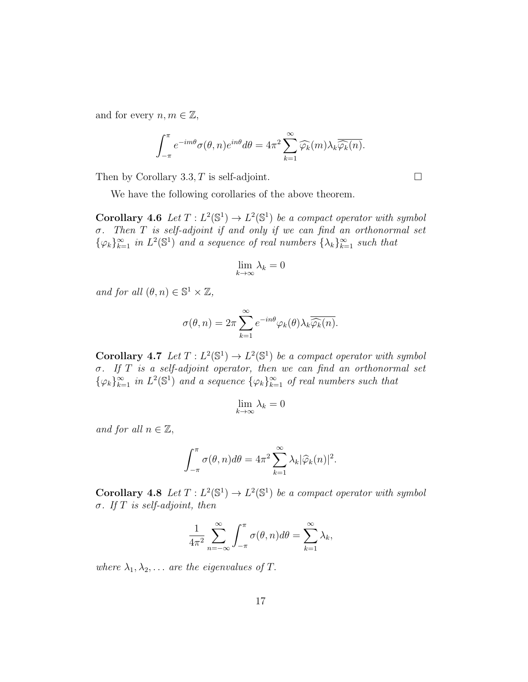and for every  $n, m \in \mathbb{Z}$ ,

$$
\int_{-\pi}^{\pi} e^{-im\theta} \sigma(\theta, n) e^{in\theta} d\theta = 4\pi^2 \sum_{k=1}^{\infty} \widehat{\varphi_k}(m) \lambda_k \overline{\widehat{\varphi_k}(n)}.
$$

Then by Corollary 3.3, T is self-adjoint.  $\square$ 

We have the following corollaries of the above theorem.

**Corollary 4.6** Let  $T: L^2(\mathbb{S}^1) \to L^2(\mathbb{S}^1)$  be a compact operator with symbol σ. Then T is self-adjoint if and only if we can find an orthonormal set  $\{\varphi_k\}_{k=1}^{\infty}$  in  $L^2(\mathbb{S}^1)$  and a sequence of real numbers  $\{\lambda_k\}_{k=1}^{\infty}$  such that

$$
\lim_{k \to \infty} \lambda_k = 0
$$

and for all  $(\theta, n) \in \mathbb{S}^1 \times \mathbb{Z}$ ,

$$
\sigma(\theta, n) = 2\pi \sum_{k=1}^{\infty} e^{-in\theta} \varphi_k(\theta) \lambda_k \overline{\widehat{\varphi_k}(n)}.
$$

**Corollary 4.7** Let  $T: L^2(\mathbb{S}^1) \to L^2(\mathbb{S}^1)$  be a compact operator with symbol σ. If T is a self-adjoint operator, then we can find an orthonormal set  $\{\varphi_k\}_{k=1}^{\infty}$  in  $L^2(\mathbb{S}^1)$  and a sequence  $\{\varphi_k\}_{k=1}^{\infty}$  of real numbers such that

$$
\lim_{k \to \infty} \lambda_k = 0
$$

and for all  $n \in \mathbb{Z}$ ,

$$
\int_{-\pi}^{\pi} \sigma(\theta, n) d\theta = 4\pi^2 \sum_{k=1}^{\infty} \lambda_k |\widehat{\varphi}_k(n)|^2.
$$

**Corollary 4.8** Let  $T: L^2(\mathbb{S}^1) \to L^2(\mathbb{S}^1)$  be a compact operator with symbol σ. If T is self-adjoint, then

$$
\frac{1}{4\pi^2} \sum_{n=-\infty}^{\infty} \int_{-\pi}^{\pi} \sigma(\theta, n) d\theta = \sum_{k=1}^{\infty} \lambda_k,
$$

where  $\lambda_1, \lambda_2, \ldots$  are the eigenvalues of T.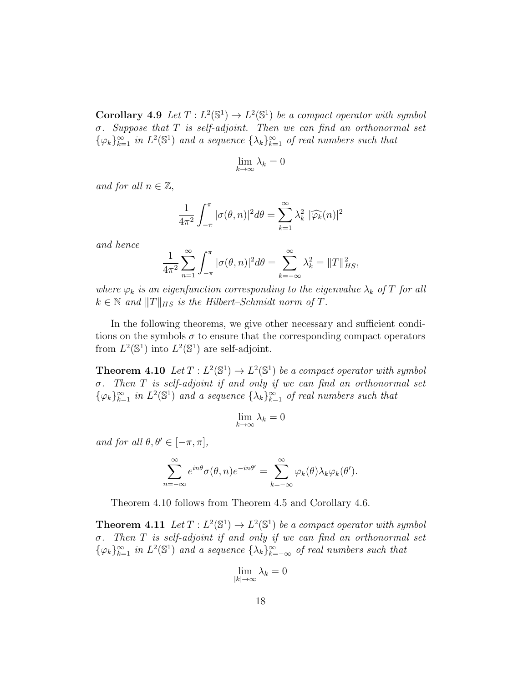**Corollary 4.9** Let  $T: L^2(\mathbb{S}^1) \to L^2(\mathbb{S}^1)$  be a compact operator with symbol  $\sigma$ . Suppose that T is self-adjoint. Then we can find an orthonormal set  $\{\varphi_k\}_{k=1}^{\infty}$  in  $L^2(\mathbb{S}^1)$  and a sequence  $\{\lambda_k\}_{k=1}^{\infty}$  of real numbers such that

$$
\lim_{k \to \infty} \lambda_k = 0
$$

and for all  $n \in \mathbb{Z}$ ,

$$
\frac{1}{4\pi^2} \int_{-\pi}^{\pi} |\sigma(\theta, n)|^2 d\theta = \sum_{k=1}^{\infty} \lambda_k^2 |\widehat{\varphi_k}(n)|^2
$$

and hence

$$
\frac{1}{4\pi^2} \sum_{n=1}^{\infty} \int_{-\pi}^{\pi} |\sigma(\theta, n)|^2 d\theta = \sum_{k=-\infty}^{\infty} \lambda_k^2 = ||T||_{HS}^2,
$$

where  $\varphi_k$  is an eigenfunction corresponding to the eigenvalue  $\lambda_k$  of T for all  $k \in \mathbb{N}$  and  $||T||_{HS}$  is the Hilbert–Schmidt norm of T.

In the following theorems, we give other necessary and sufficient conditions on the symbols  $\sigma$  to ensure that the corresponding compact operators from  $L^2(\mathbb{S}^1)$  into  $L^2(\mathbb{S}^1)$  are self-adjoint.

**Theorem 4.10** Let  $T: L^2(\mathbb{S}^1) \to L^2(\mathbb{S}^1)$  be a compact operator with symbol  $\sigma$ . Then T is self-adjoint if and only if we can find an orthonormal set  $\{\varphi_k\}_{k=1}^{\infty}$  in  $L^2(\mathbb{S}^1)$  and a sequence  $\{\lambda_k\}_{k=1}^{\infty}$  of real numbers such that

$$
\lim_{k \to \infty} \lambda_k = 0
$$

and for all  $\theta, \theta' \in [-\pi, \pi]$ ,

$$
\sum_{n=-\infty}^{\infty} e^{in\theta} \sigma(\theta, n) e^{-in\theta'} = \sum_{k=-\infty}^{\infty} \varphi_k(\theta) \lambda_k \overline{\varphi_k}(\theta').
$$

Theorem 4.10 follows from Theorem 4.5 and Corollary 4.6.

**Theorem 4.11** Let  $T: L^2(\mathbb{S}^1) \to L^2(\mathbb{S}^1)$  be a compact operator with symbol  $\sigma$ . Then  $T$  is self-adjoint if and only if we can find an orthonormal set  $\{\varphi_k\}_{k=1}^{\infty}$  in  $L^2(\mathbb{S}^1)$  and a sequence  $\{\lambda_k\}_{k=-\infty}^{\infty}$  of real numbers such that

$$
\lim_{|k|\to\infty}\lambda_k=0
$$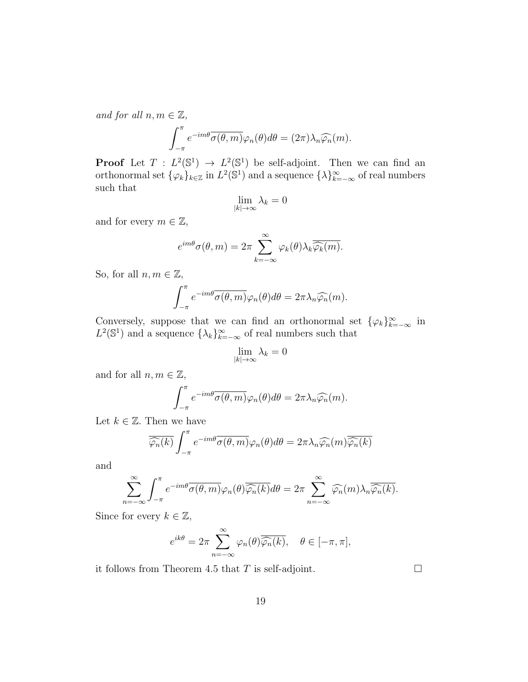and for all  $n, m \in \mathbb{Z}$ ,

$$
\int_{-\pi}^{\pi} e^{-im\theta} \overline{\sigma(\theta, m)} \varphi_n(\theta) d\theta = (2\pi) \lambda_n \widehat{\varphi_n}(m).
$$

**Proof** Let  $T: L^2(\mathbb{S}^1) \to L^2(\mathbb{S}^1)$  be self-adjoint. Then we can find an orthonormal set  $\{\varphi_k\}_{k\in\mathbb{Z}}$  in  $L^2(\mathbb{S}^1)$  and a sequence  $\{\lambda\}_{k=-\infty}^{\infty}$  of real numbers such that

$$
\lim_{|k|\to\infty}\lambda_k=0
$$

and for every  $m \in \mathbb{Z}$ ,

$$
e^{im\theta}\sigma(\theta,m) = 2\pi \sum_{k=-\infty}^{\infty} \varphi_k(\theta) \lambda_k \overline{\widehat{\varphi_k}(m)}.
$$

So, for all  $n, m \in \mathbb{Z}$ ,

$$
\int_{-\pi}^{\pi} e^{-im\theta} \overline{\sigma(\theta, m)} \varphi_n(\theta) d\theta = 2\pi \lambda_n \widehat{\varphi_n}(m).
$$

Conversely, suppose that we can find an orthonormal set  $\{\varphi_k\}_{k=-\infty}^{\infty}$  in  $L^2(\mathbb{S}^1)$  and a sequence  $\{\lambda_k\}_{k=-\infty}^{\infty}$  of real numbers such that

$$
\lim_{|k|\to\infty}\lambda_k=0
$$

and for all  $n, m \in \mathbb{Z}$ ,

$$
\int_{-\pi}^{\pi} e^{-im\theta} \overline{\sigma(\theta, m)} \varphi_n(\theta) d\theta = 2\pi \lambda_n \widehat{\varphi_n}(m).
$$

Let  $k \in \mathbb{Z}$ . Then we have

$$
\overline{\widehat{\varphi_n}(k)} \int_{-\pi}^{\pi} e^{-im\theta} \overline{\sigma(\theta, m)} \varphi_n(\theta) d\theta = 2\pi \lambda_n \widehat{\varphi_n}(m) \overline{\widehat{\varphi_n}(k)}
$$

and

$$
\sum_{n=-\infty}^{\infty} \int_{-\pi}^{\pi} e^{-im\theta} \overline{\sigma(\theta, m)} \varphi_n(\theta) \overline{\widehat{\varphi_n}(k)} d\theta = 2\pi \sum_{n=-\infty}^{\infty} \widehat{\varphi_n}(m) \lambda_n \overline{\widehat{\varphi_n}(k)}.
$$

Since for every  $k \in \mathbb{Z}$ ,

$$
e^{ik\theta} = 2\pi \sum_{n=-\infty}^{\infty} \varphi_n(\theta) \overline{\widehat{\varphi_n}(k)}, \quad \theta \in [-\pi, \pi],
$$

it follows from Theorem 4.5 that T is self-adjoint.  $\square$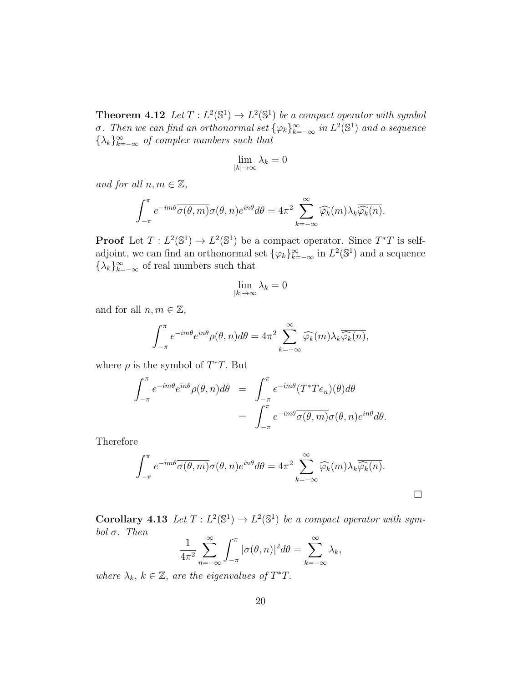**Theorem 4.12** Let  $T: L^2(\mathbb{S}^1) \to L^2(\mathbb{S}^1)$  be a compact operator with symbol σ. Then we can find an orthonormal set  $\{\varphi_k\}_{k=-\infty}^{\infty}$  in  $L^2(\mathbb{S}^1)$  and a sequence  $\{\lambda_k\}_{k=-\infty}^{\infty}$  of complex numbers such that

$$
\lim_{|k|\to\infty}\lambda_k=0
$$

and for all  $n, m \in \mathbb{Z}$ ,

 $\ddot{\phantom{0}}$ 

$$
\int_{-\pi}^{\pi} e^{-im\theta} \overline{\sigma(\theta, m)} \sigma(\theta, n) e^{in\theta} d\theta = 4\pi^2 \sum_{k=-\infty}^{\infty} \widehat{\varphi_k}(m) \lambda_k \overline{\widehat{\varphi_k}(n)}.
$$

**Proof** Let  $T: L^2(\mathbb{S}^1) \to L^2(\mathbb{S}^1)$  be a compact operator. Since  $T^*T$  is selfadjoint, we can find an orthonormal set  $\{\varphi_k\}_{k=-\infty}^{\infty}$  in  $L^2(\mathbb{S}^1)$  and a sequence  $\{\lambda_k\}_{k=-\infty}^{\infty}$  of real numbers such that

$$
\lim_{|k|\to\infty}\lambda_k=0
$$

and for all  $n, m \in \mathbb{Z}$ ,

$$
\int_{-\pi}^{\pi} e^{-im\theta} e^{in\theta} \rho(\theta, n) d\theta = 4\pi^2 \sum_{k=-\infty}^{\infty} \widehat{\varphi_k}(m) \lambda_k \overline{\widehat{\varphi_k}(n)},
$$

where  $\rho$  is the symbol of  $T^*T$ . But

$$
\int_{-\pi}^{\pi} e^{-im\theta} e^{in\theta} \rho(\theta, n) d\theta = \int_{-\pi}^{\pi} e^{-im\theta} (T^* T e_n)(\theta) d\theta
$$

$$
= \int_{-\pi}^{\pi} e^{-im\theta} \overline{\sigma(\theta, m)} \sigma(\theta, n) e^{in\theta} d\theta.
$$

Therefore

$$
\int_{-\pi}^{\pi} e^{-im\theta} \overline{\sigma(\theta, m)} \sigma(\theta, n) e^{in\theta} d\theta = 4\pi^2 \sum_{k=-\infty}^{\infty} \widehat{\varphi_k}(m) \lambda_k \overline{\widehat{\varphi_k}(n)}.
$$

**Corollary 4.13** Let  $T: L^2(\mathbb{S}^1) \to L^2(\mathbb{S}^1)$  be a compact operator with symbol  $\sigma$ . Then

$$
\frac{1}{4\pi^2} \sum_{n=-\infty}^{\infty} \int_{-\pi}^{\pi} |\sigma(\theta, n)|^2 d\theta = \sum_{k=-\infty}^{\infty} \lambda_k,
$$

where  $\lambda_k, k \in \mathbb{Z}$ , are the eigenvalues of  $T^*T$ .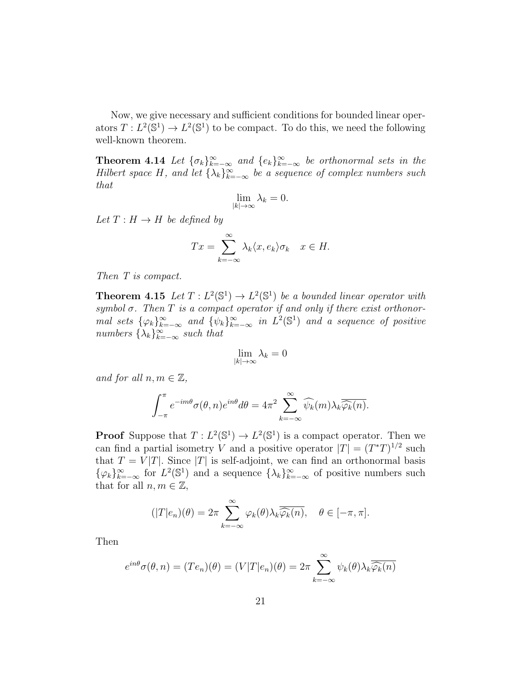Now, we give necessary and sufficient conditions for bounded linear operators  $T: L^2(\mathbb{S}^1) \to L^2(\mathbb{S}^1)$  to be compact. To do this, we need the following well-known theorem.

**Theorem 4.14** Let  $\{\sigma_k\}_{k=-\infty}^{\infty}$  and  $\{e_k\}_{k=-\infty}^{\infty}$  be orthonormal sets in the Hilbert space H, and let  $\{\lambda_k\}_{k=-\infty}^{\infty}$  be a sequence of complex numbers such that

$$
\lim_{|k| \to \infty} \lambda_k = 0.
$$

Let  $T : H \to H$  be defined by

$$
Tx = \sum_{k=-\infty}^{\infty} \lambda_k \langle x, e_k \rangle \sigma_k \quad x \in H.
$$

Then T is compact.

**Theorem 4.15** Let  $T: L^2(\mathbb{S}^1) \to L^2(\mathbb{S}^1)$  be a bounded linear operator with symbol  $\sigma$ . Then T is a compact operator if and only if there exist orthonormal sets  $\{\varphi_k\}_{k=-\infty}^{\infty}$  and  $\{\psi_k\}_{k=-\infty}^{\infty}$  in  $L^2(\mathbb{S}^1)$  and a sequence of positive numbers  $\{\lambda_k\}_{k=-\infty}^{\infty}$  such that

$$
\lim_{|k|\to\infty}\lambda_k=0
$$

and for all  $n, m \in \mathbb{Z}$ ,

$$
\int_{-\pi}^{\pi} e^{-im\theta} \sigma(\theta, n) e^{in\theta} d\theta = 4\pi^2 \sum_{k=-\infty}^{\infty} \widehat{\psi_k}(m) \lambda_k \overline{\widehat{\varphi_k}(n)}.
$$

**Proof** Suppose that  $T: L^2(\mathbb{S}^1) \to L^2(\mathbb{S}^1)$  is a compact operator. Then we can find a partial isometry V and a positive operator  $|T| = (T^*T)^{1/2}$  such that  $T = V|T|$ . Since |T| is self-adjoint, we can find an orthonormal basis  $\{\varphi_k\}_{k=-\infty}^{\infty}$  for  $L^2(\mathbb{S}^1)$  and a sequence  $\{\lambda_k\}_{k=-\infty}^{\infty}$  of positive numbers such that for all  $n, m \in \mathbb{Z}$ ,

$$
(|T|e_n)(\theta) = 2\pi \sum_{k=-\infty}^{\infty} \varphi_k(\theta) \lambda_k \overline{\widehat{\varphi_k}(n)}, \quad \theta \in [-\pi, \pi].
$$

Then

$$
e^{in\theta}\sigma(\theta,n) = (Te_n)(\theta) = (V|T|e_n)(\theta) = 2\pi \sum_{k=-\infty}^{\infty} \psi_k(\theta)\lambda_k \overline{\widehat{\varphi_k}(n)}
$$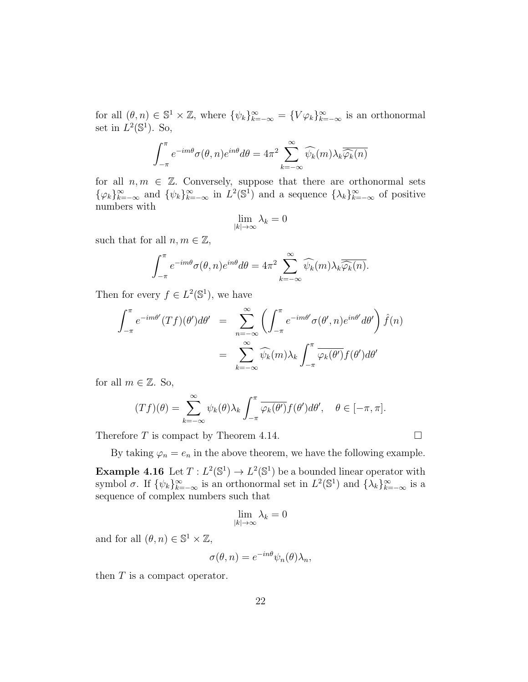for all  $(\theta, n) \in \mathbb{S}^1 \times \mathbb{Z}$ , where  $\{\psi_k\}_{k=-\infty}^{\infty} = \{V\varphi_k\}_{k=-\infty}^{\infty}$  is an orthonormal set in  $L^2(\mathbb{S}^1)$ . So,

$$
\int_{-\pi}^{\pi} e^{-im\theta} \sigma(\theta, n) e^{in\theta} d\theta = 4\pi^2 \sum_{k=-\infty}^{\infty} \widehat{\psi_k}(m) \lambda_k \widehat{\overline{\varphi_k}(n)}
$$

for all  $n, m \in \mathbb{Z}$ . Conversely, suppose that there are orthonormal sets  $\{\varphi_k\}_{k=-\infty}^{\infty}$  and  $\{\psi_k\}_{k=-\infty}^{\infty}$  in  $L^2(\mathbb{S}^1)$  and a sequence  $\{\lambda_k\}_{k=-\infty}^{\infty}$  of positive numbers with

$$
\lim_{|k|\to\infty}\lambda_k=0
$$

such that for all  $n, m \in \mathbb{Z}$ ,

$$
\int_{-\pi}^{\pi} e^{-im\theta} \sigma(\theta, n) e^{in\theta} d\theta = 4\pi^2 \sum_{k=-\infty}^{\infty} \widehat{\psi_k}(m) \lambda_k \overline{\widehat{\varphi_k}(n)}.
$$

Then for every  $f \in L^2(\mathbb{S}^1)$ , we have

$$
\int_{-\pi}^{\pi} e^{-im\theta'}(Tf)(\theta')d\theta' = \sum_{n=-\infty}^{\infty} \left( \int_{-\pi}^{\pi} e^{-im\theta'} \sigma(\theta',n)e^{in\theta'}d\theta' \right) \hat{f}(n)
$$

$$
= \sum_{k=-\infty}^{\infty} \widehat{\psi_k}(m)\lambda_k \int_{-\pi}^{\pi} \overline{\varphi_k(\theta')}f(\theta')d\theta'
$$

for all  $m \in \mathbb{Z}$ . So,

$$
(Tf)(\theta) = \sum_{k=-\infty}^{\infty} \psi_k(\theta) \lambda_k \int_{-\pi}^{\pi} \overline{\varphi_k(\theta')} f(\theta') d\theta', \quad \theta \in [-\pi, \pi].
$$

Therefore  $T$  is compact by Theorem 4.14.

By taking  $\varphi_n = e_n$  in the above theorem, we have the following example. **Example 4.16** Let  $T: L^2(\mathbb{S}^1) \to L^2(\mathbb{S}^1)$  be a bounded linear operator with symbol  $\sigma$ . If  $\{\psi_k\}_{k=-\infty}^{\infty}$  is an orthonormal set in  $L^2(\mathbb{S}^1)$  and  $\{\lambda_k\}_{k=-\infty}^{\infty}$  is a sequence of complex numbers such that

$$
\lim_{|k|\to\infty}\lambda_k=0
$$

and for all  $(\theta, n) \in \mathbb{S}^1 \times \mathbb{Z}$ ,

$$
\sigma(\theta, n) = e^{-in\theta} \psi_n(\theta) \lambda_n,
$$

then T is a compact operator.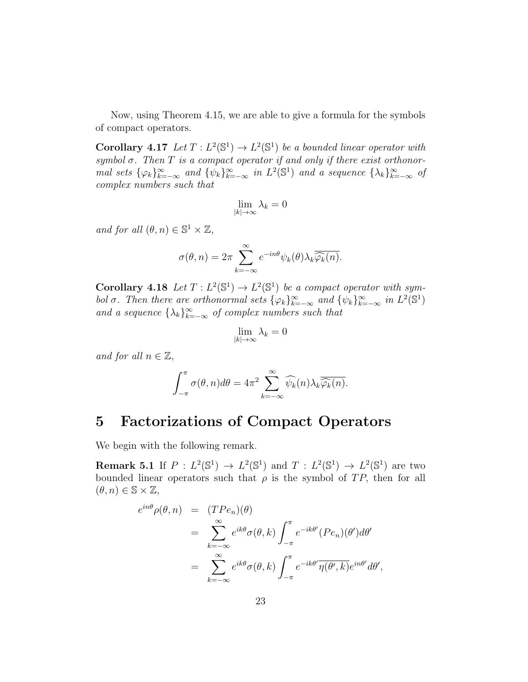Now, using Theorem 4.15, we are able to give a formula for the symbols of compact operators.

**Corollary 4.17** Let  $T: L^2(\mathbb{S}^1) \to L^2(\mathbb{S}^1)$  be a bounded linear operator with symbol  $\sigma$ . Then  $T$  is a compact operator if and only if there exist orthonormal sets  $\{\varphi_k\}_{k=-\infty}^{\infty}$  and  $\{\psi_k\}_{k=-\infty}^{\infty}$  in  $L^2(\mathbb{S}^1)$  and a sequence  $\{\lambda_k\}_{k=-\infty}^{\infty}$  of complex numbers such that

$$
\lim_{|k|\to\infty}\lambda_k=0
$$

and for all  $(\theta, n) \in \mathbb{S}^1 \times \mathbb{Z}$ ,

$$
\sigma(\theta, n) = 2\pi \sum_{k=-\infty}^{\infty} e^{-in\theta} \psi_k(\theta) \lambda_k \overline{\widehat{\varphi_k}(n)}.
$$

**Corollary 4.18** Let  $T: L^2(\mathbb{S}^1) \to L^2(\mathbb{S}^1)$  be a compact operator with symbol  $\sigma$ . Then there are orthonormal sets  $\{\varphi_k\}_{k=-\infty}^{\infty}$  and  $\{\psi_k\}_{k=-\infty}^{\infty}$  in  $L^2(\mathbb{S}^1)$ and a sequence  $\{\lambda_k\}_{k=-\infty}^{\infty}$  of complex numbers such that

$$
\lim_{|k|\to\infty}\lambda_k=0
$$

and for all  $n \in \mathbb{Z}$ ,

$$
\int_{-\pi}^{\pi} \sigma(\theta, n) d\theta = 4\pi^2 \sum_{k=-\infty}^{\infty} \widehat{\psi_k}(n) \lambda_k \overline{\widehat{\varphi_k}(n)}.
$$

#### 5 Factorizations of Compact Operators

We begin with the following remark.

**Remark 5.1** If  $P: L^2(\mathbb{S}^1) \to L^2(\mathbb{S}^1)$  and  $T: L^2(\mathbb{S}^1) \to L^2(\mathbb{S}^1)$  are two bounded linear operators such that  $\rho$  is the symbol of TP, then for all  $(\theta, n) \in \mathbb{S} \times \mathbb{Z}$ ,

$$
e^{in\theta} \rho(\theta, n) = (TPe_n)(\theta)
$$
  
= 
$$
\sum_{k=-\infty}^{\infty} e^{ik\theta} \sigma(\theta, k) \int_{-\pi}^{\pi} e^{-ik\theta'} (Pe_n)(\theta') d\theta'
$$
  
= 
$$
\sum_{k=-\infty}^{\infty} e^{ik\theta} \sigma(\theta, k) \int_{-\pi}^{\pi} e^{-ik\theta'} \overline{\eta(\theta', k)} e^{in\theta'} d\theta',
$$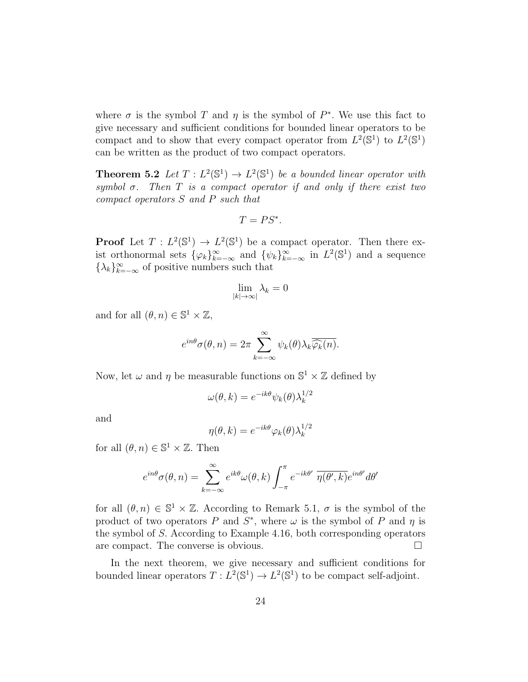where  $\sigma$  is the symbol T and  $\eta$  is the symbol of  $P^*$ . We use this fact to give necessary and sufficient conditions for bounded linear operators to be compact and to show that every compact operator from  $L^2(\mathbb{S}^1)$  to  $L^2(\mathbb{S}^1)$ can be written as the product of two compact operators.

**Theorem 5.2** Let  $T: L^2(\mathbb{S}^1) \to L^2(\mathbb{S}^1)$  be a bounded linear operator with symbol  $\sigma$ . Then T is a compact operator if and only if there exist two compact operators S and P such that

$$
T=PS^*.
$$

**Proof** Let  $T: L^2(\mathbb{S}^1) \to L^2(\mathbb{S}^1)$  be a compact operator. Then there exist orthonormal sets  $\{\varphi_k\}_{k=-\infty}^{\infty}$  and  $\{\psi_k\}_{k=-\infty}^{\infty}$  in  $L^2(\mathbb{S}^1)$  and a sequence  $\{\lambda_k\}_{k=-\infty}^{\infty}$  of positive numbers such that

$$
\lim_{|k|\to\infty|}\lambda_k=0
$$

and for all  $(\theta, n) \in \mathbb{S}^1 \times \mathbb{Z}$ ,

$$
e^{in\theta}\sigma(\theta,n) = 2\pi \sum_{k=-\infty}^{\infty} \psi_k(\theta) \lambda_k \overline{\widehat{\varphi_k}(n)}.
$$

Now, let  $\omega$  and  $\eta$  be measurable functions on  $\mathbb{S}^1 \times \mathbb{Z}$  defined by

$$
\omega(\theta, k) = e^{-ik\theta} \psi_k(\theta) \lambda_k^{1/2}
$$

and

$$
\eta(\theta, k) = e^{-ik\theta} \varphi_k(\theta) \lambda_k^{1/2}
$$

for all  $(\theta, n) \in \mathbb{S}^1 \times \mathbb{Z}$ . Then

$$
e^{in\theta}\sigma(\theta,n) = \sum_{k=-\infty}^{\infty} e^{ik\theta} \omega(\theta,k) \int_{-\pi}^{\pi} e^{-ik\theta'} \overline{\eta(\theta',k)} e^{in\theta'} d\theta'
$$

for all  $(\theta, n) \in \mathbb{S}^1 \times \mathbb{Z}$ . According to Remark 5.1,  $\sigma$  is the symbol of the product of two operators P and  $S^*$ , where  $\omega$  is the symbol of P and  $\eta$  is the symbol of S. According to Example 4.16, both corresponding operators are compact. The converse is obvious.

In the next theorem, we give necessary and sufficient conditions for bounded linear operators  $T: L^2(\mathbb{S}^1) \to L^2(\mathbb{S}^1)$  to be compact self-adjoint.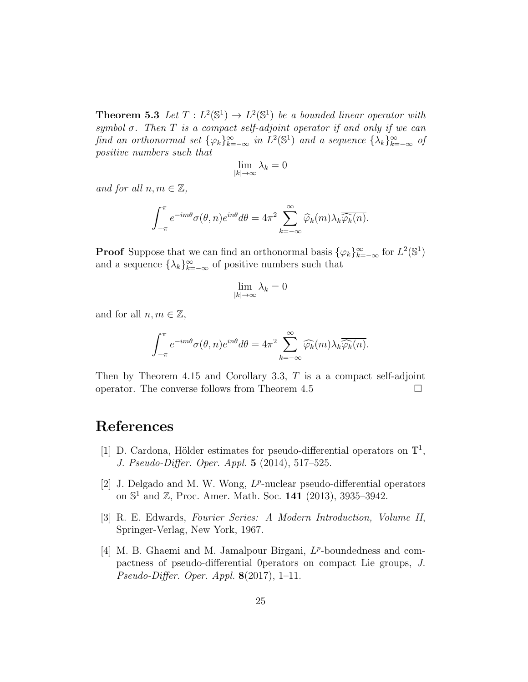**Theorem 5.3** Let  $T: L^2(\mathbb{S}^1) \to L^2(\mathbb{S}^1)$  be a bounded linear operator with symbol  $\sigma$ . Then T is a compact self-adjoint operator if and only if we can find an orthonormal set  $\{\varphi_k\}_{k=-\infty}^{\infty}$  in  $L^2(\mathbb{S}^1)$  and a sequence  $\{\lambda_k\}_{k=-\infty}^{\infty}$  of positive numbers such that

$$
\lim_{|k|\to\infty}\lambda_k=0
$$

and for all  $n, m \in \mathbb{Z}$ ,

$$
\int_{-\pi}^{\pi} e^{-im\theta} \sigma(\theta, n) e^{in\theta} d\theta = 4\pi^2 \sum_{k=-\infty}^{\infty} \widehat{\varphi}_k(m) \lambda_k \overline{\widehat{\varphi}_k(n)}.
$$

**Proof** Suppose that we can find an orthonormal basis  $\{\varphi_k\}_{k=-\infty}^{\infty}$  for  $L^2(\mathbb{S}^1)$ and a sequence  $\{\lambda_k\}_{k=-\infty}^{\infty}$  of positive numbers such that

$$
\lim_{|k|\to\infty}\lambda_k=0
$$

and for all  $n, m \in \mathbb{Z}$ ,

$$
\int_{-\pi}^{\pi} e^{-im\theta} \sigma(\theta, n) e^{in\theta} d\theta = 4\pi^2 \sum_{k=-\infty}^{\infty} \widehat{\varphi_k}(m) \lambda_k \overline{\widehat{\varphi_k}(n)}.
$$

Then by Theorem 4.15 and Corollary 3.3,  $T$  is a a compact self-adjoint operator. The converse follows from Theorem 4.5

#### References

- [1] D. Cardona, Hölder estimates for pseudo-differential operators on  $\mathbb{T}^1$ , J. Pseudo-Differ. Oper. Appl. 5 (2014), 517–525.
- [2] J. Delgado and M. W. Wong,  $L^p$ -nuclear pseudo-differential operators on  $\mathbb{S}^1$  and  $\mathbb{Z}$ , Proc. Amer. Math. Soc. 141 (2013), 3935-3942.
- [3] R. E. Edwards, Fourier Series: A Modern Introduction, Volume II, Springer-Verlag, New York, 1967.
- [4] M. B. Ghaemi and M. Jamalpour Birgani,  $L^p$ -boundedness and compactness of pseudo-differential 0perators on compact Lie groups, J. Pseudo-Differ. Oper. Appl.  $8(2017)$ , 1–11.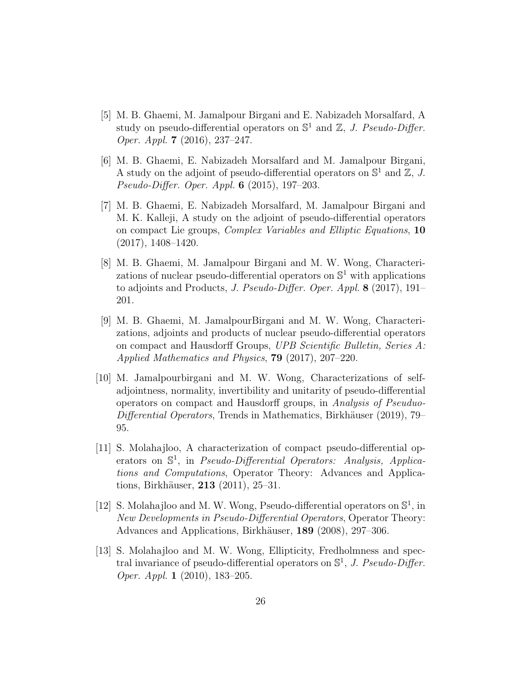- [5] M. B. Ghaemi, M. Jamalpour Birgani and E. Nabizadeh Morsalfard, A study on pseudo-differential operators on  $\mathbb{S}^1$  and  $\mathbb{Z}$ , J. Pseudo-Differ. Oper. Appl. 7 (2016), 237–247.
- [6] M. B. Ghaemi, E. Nabizadeh Morsalfard and M. Jamalpour Birgani, A study on the adjoint of pseudo-differential operators on  $\mathbb{S}^1$  and  $\mathbb{Z}, J$ . Pseudo-Differ. Oper. Appl. 6 (2015), 197–203.
- [7] M. B. Ghaemi, E. Nabizadeh Morsalfard, M. Jamalpour Birgani and M. K. Kalleji, A study on the adjoint of pseudo-differential operators on compact Lie groups, Complex Variables and Elliptic Equations, 10 (2017), 1408–1420.
- [8] M. B. Ghaemi, M. Jamalpour Birgani and M. W. Wong, Characterizations of nuclear pseudo-differential operators on  $\mathbb{S}^1$  with applications to adjoints and Products, J. Pseudo-Differ. Oper. Appl. 8 (2017), 191– 201.
- [9] M. B. Ghaemi, M. JamalpourBirgani and M. W. Wong, Characterizations, adjoints and products of nuclear pseudo-differential operators on compact and Hausdorff Groups, UPB Scientific Bulletin, Series A: Applied Mathematics and Physics, 79 (2017), 207–220.
- [10] M. Jamalpourbirgani and M. W. Wong, Characterizations of selfadjointness, normality, invertibility and unitarity of pseudo-differential operators on compact and Hausdorff groups, in Analysis of Pseuduo- $Differential$  Operators, Trends in Mathematics, Birkhäuser (2019), 79– 95.
- [11] S. Molahajloo, A characterization of compact pseudo-differential operators on  $\mathbb{S}^1$ , in *Pseudo-Differential Operators: Analysis, Applica*tions and Computations, Operator Theory: Advances and Applications, Birkhäuser, **213** (2011), 25–31.
- [12] S. Molahajloo and M. W. Wong, Pseudo-differential operators on  $\mathbb{S}^1$ , in New Developments in Pseudo-Differential Operators, Operator Theory: Advances and Applications, Birkhäuser, 189 (2008), 297–306.
- [13] S. Molahajloo and M. W. Wong, Ellipticity, Fredholmness and spectral invariance of pseudo-differential operators on  $\mathbb{S}^1$ , J. Pseudo-Differ. Oper. Appl. 1 (2010), 183–205.